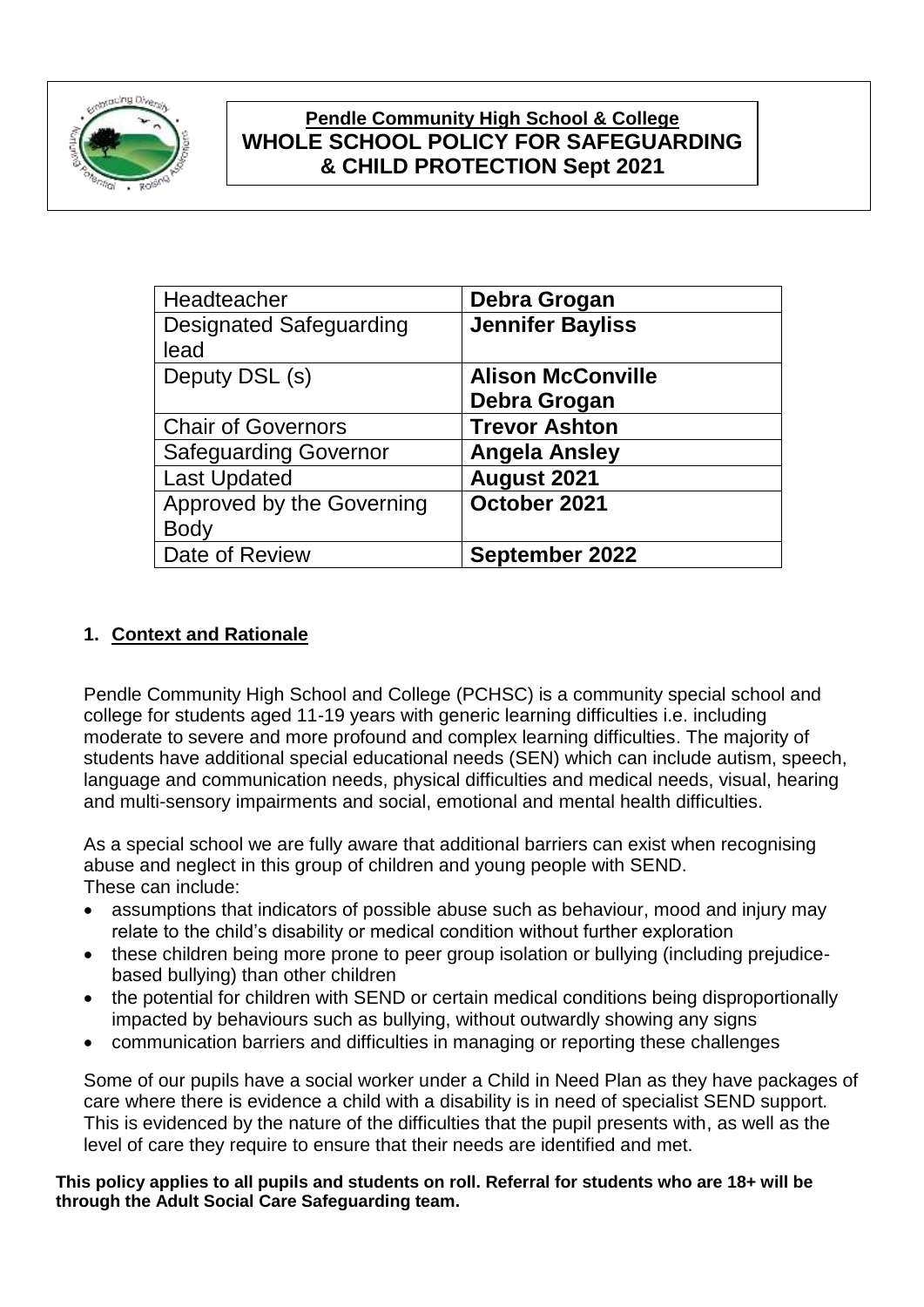

# **Pendle Community High School & College WHOLE SCHOOL POLICY FOR SAFEGUARDING & CHILD PROTECTION Sept 2021**

| Debra Grogan             |
|--------------------------|
| <b>Jennifer Bayliss</b>  |
|                          |
| <b>Alison McConville</b> |
| Debra Grogan             |
| <b>Trevor Ashton</b>     |
| <b>Angela Ansley</b>     |
| August 2021              |
| October 2021             |
|                          |
| September 2022           |
|                          |

## **1. Context and Rationale**

Pendle Community High School and College (PCHSC) is a community special school and college for students aged 11-19 years with generic learning difficulties i.e. including moderate to severe and more profound and complex learning difficulties. The majority of students have additional special educational needs (SEN) which can include autism, speech, language and communication needs, physical difficulties and medical needs, visual, hearing and multi-sensory impairments and social, emotional and mental health difficulties.

As a special school we are fully aware that additional barriers can exist when recognising abuse and neglect in this group of children and young people with SEND. These can include:

- assumptions that indicators of possible abuse such as behaviour, mood and injury may relate to the child's disability or medical condition without further exploration
- these children being more prone to peer group isolation or bullying (including prejudicebased bullying) than other children
- the potential for children with SEND or certain medical conditions being disproportionally impacted by behaviours such as bullying, without outwardly showing any signs
- communication barriers and difficulties in managing or reporting these challenges

Some of our pupils have a social worker under a Child in Need Plan as they have packages of care where there is evidence a child with a disability is in need of specialist SEND support. This is evidenced by the nature of the difficulties that the pupil presents with, as well as the level of care they require to ensure that their needs are identified and met.

**This policy applies to all pupils and students on roll. Referral for students who are 18+ will be through the Adult Social Care Safeguarding team.**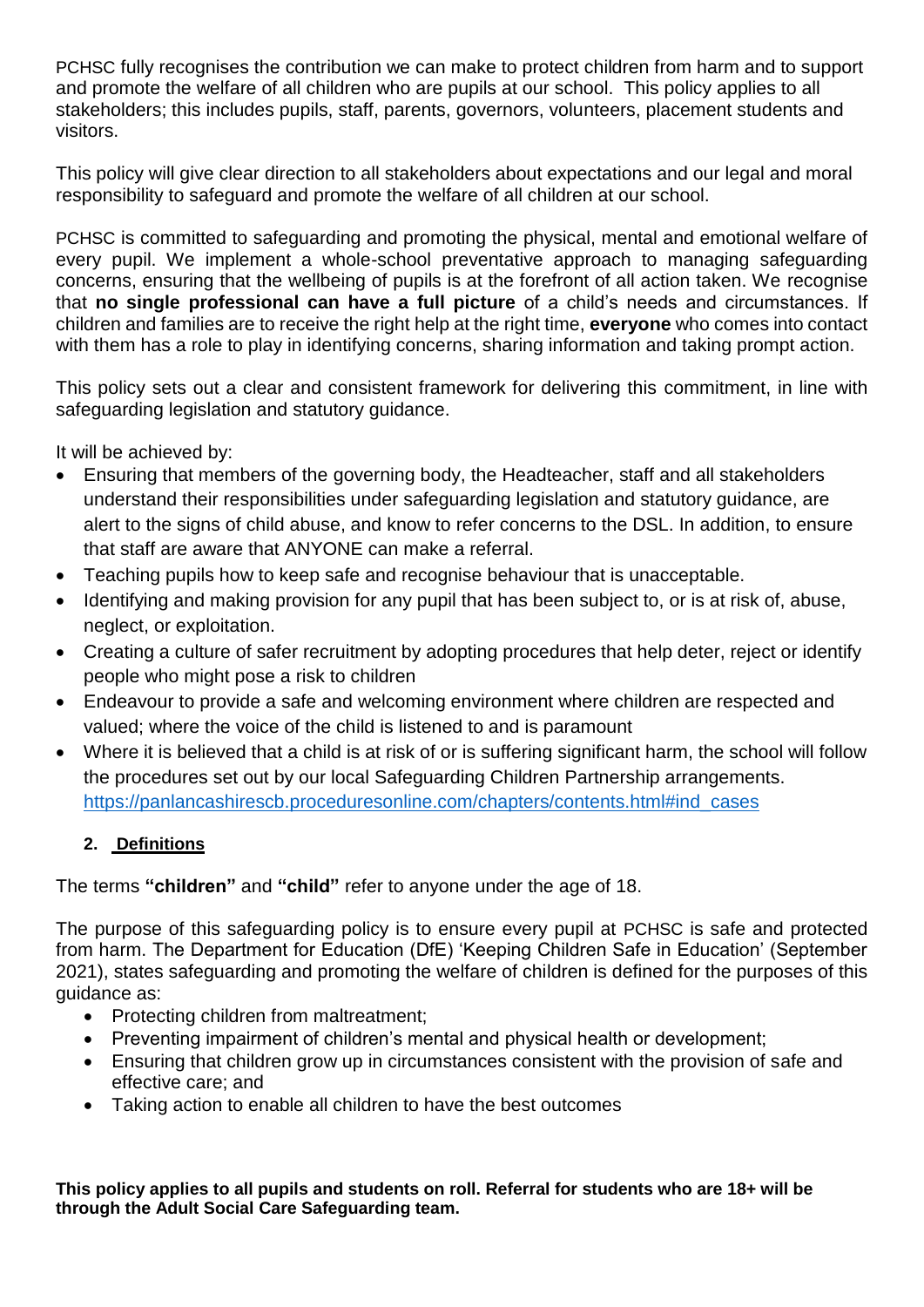PCHSC fully recognises the contribution we can make to protect children from harm and to support and promote the welfare of all children who are pupils at our school. This policy applies to all stakeholders; this includes pupils, staff, parents, governors, volunteers, placement students and visitors.

This policy will give clear direction to all stakeholders about expectations and our legal and moral responsibility to safeguard and promote the welfare of all children at our school.

PCHSC is committed to safeguarding and promoting the physical, mental and emotional welfare of every pupil. We implement a whole-school preventative approach to managing safeguarding concerns, ensuring that the wellbeing of pupils is at the forefront of all action taken. We recognise that **no single professional can have a full picture** of a child's needs and circumstances. If children and families are to receive the right help at the right time, **everyone** who comes into contact with them has a role to play in identifying concerns, sharing information and taking prompt action.

This policy sets out a clear and consistent framework for delivering this commitment, in line with safeguarding legislation and statutory guidance.

It will be achieved by:

- Ensuring that members of the governing body, the Headteacher, staff and all stakeholders understand their responsibilities under safeguarding legislation and statutory guidance, are alert to the signs of child abuse, and know to refer concerns to the DSL. In addition, to ensure that staff are aware that ANYONE can make a referral.
- Teaching pupils how to keep safe and recognise behaviour that is unacceptable.
- Identifying and making provision for any pupil that has been subject to, or is at risk of, abuse, neglect, or exploitation.
- Creating a culture of safer recruitment by adopting procedures that help deter, reject or identify people who might pose a risk to children
- Endeavour to provide a safe and welcoming environment where children are respected and valued; where the voice of the child is listened to and is paramount
- Where it is believed that a child is at risk of or is suffering significant harm, the school will follow the procedures set out by our local Safeguarding Children Partnership arrangements. [https://panlancashirescb.proceduresonline.com/chapters/contents.html#ind\\_cases](https://panlancashirescb.proceduresonline.com/chapters/contents.html#ind_cases)

#### **2. Definitions**

The terms **"children"** and **"child"** refer to anyone under the age of 18.

The purpose of this safeguarding policy is to ensure every pupil at PCHSC is safe and protected from harm. The Department for Education (DfE) 'Keeping Children Safe in Education' (September 2021), states safeguarding and promoting the welfare of children is defined for the purposes of this guidance as:

- Protecting children from maltreatment:
- Preventing impairment of children's mental and physical health or development;
- Ensuring that children grow up in circumstances consistent with the provision of safe and effective care; and
- Taking action to enable all children to have the best outcomes

**This policy applies to all pupils and students on roll. Referral for students who are 18+ will be through the Adult Social Care Safeguarding team.**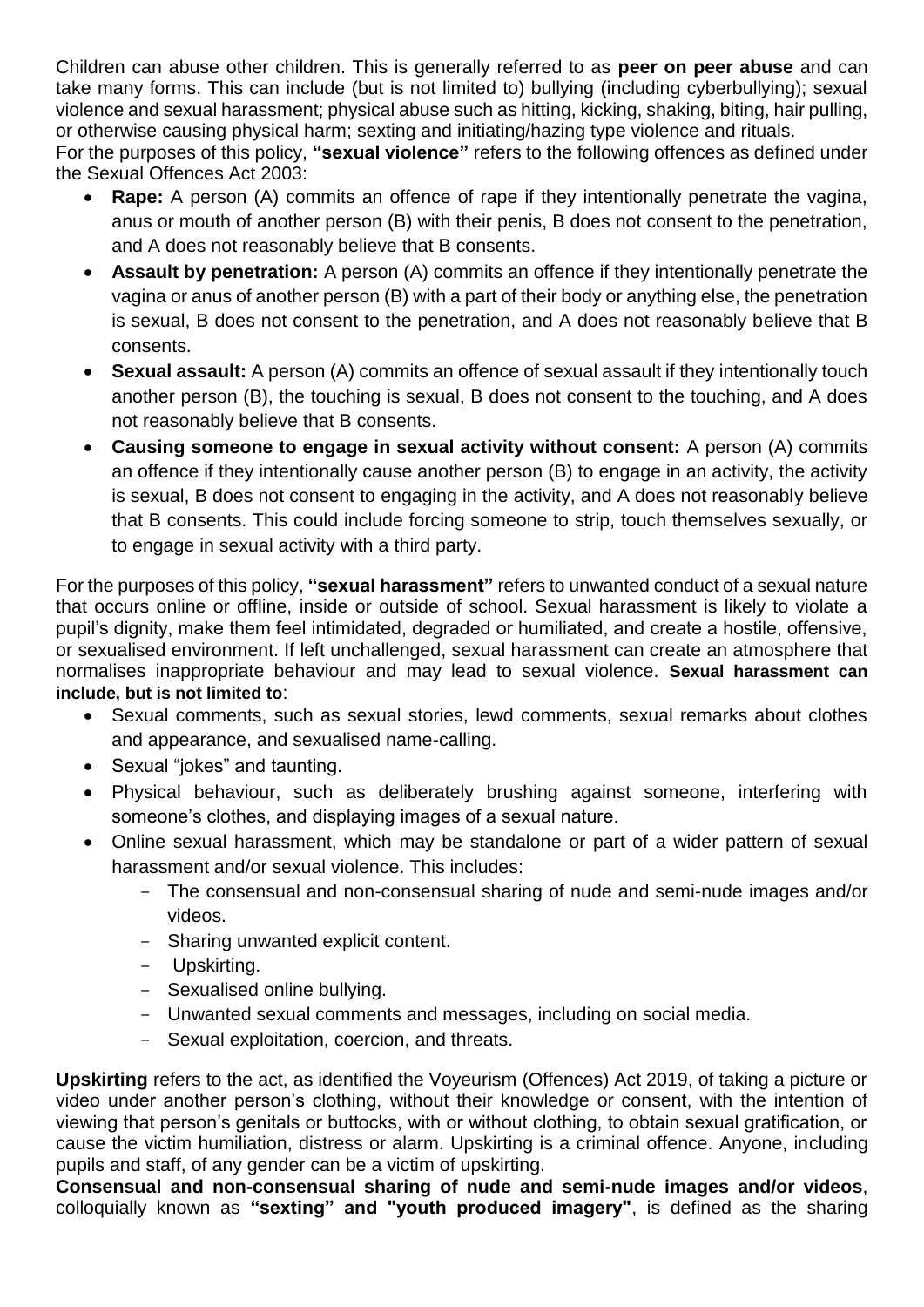Children can abuse other children. This is generally referred to as **peer on peer abuse** and can take many forms. This can include (but is not limited to) bullying (including cyberbullying); sexual violence and sexual harassment; physical abuse such as hitting, kicking, shaking, biting, hair pulling, or otherwise causing physical harm; sexting and initiating/hazing type violence and rituals. For the purposes of this policy, **"sexual violence"** refers to the following offences as defined under the Sexual Offences Act 2003:

- **Rape:** A person (A) commits an offence of rape if they intentionally penetrate the vagina, anus or mouth of another person (B) with their penis, B does not consent to the penetration, and A does not reasonably believe that B consents.
- **Assault by penetration:** A person (A) commits an offence if they intentionally penetrate the vagina or anus of another person (B) with a part of their body or anything else, the penetration is sexual, B does not consent to the penetration, and A does not reasonably believe that B consents.
- **Sexual assault:** A person (A) commits an offence of sexual assault if they intentionally touch another person (B), the touching is sexual, B does not consent to the touching, and A does not reasonably believe that B consents.
- **Causing someone to engage in sexual activity without consent:** A person (A) commits an offence if they intentionally cause another person (B) to engage in an activity, the activity is sexual, B does not consent to engaging in the activity, and A does not reasonably believe that B consents. This could include forcing someone to strip, touch themselves sexually, or to engage in sexual activity with a third party.

For the purposes of this policy, **"sexual harassment"** refers to unwanted conduct of a sexual nature that occurs online or offline, inside or outside of school. Sexual harassment is likely to violate a pupil's dignity, make them feel intimidated, degraded or humiliated, and create a hostile, offensive, or sexualised environment. If left unchallenged, sexual harassment can create an atmosphere that normalises inappropriate behaviour and may lead to sexual violence. **Sexual harassment can include, but is not limited to**:

- Sexual comments, such as sexual stories, lewd comments, sexual remarks about clothes and appearance, and sexualised name-calling.
- Sexual "jokes" and taunting.
- Physical behaviour, such as deliberately brushing against someone, interfering with someone's clothes, and displaying images of a sexual nature.
- Online sexual harassment, which may be standalone or part of a wider pattern of sexual harassment and/or sexual violence. This includes:
	- The consensual and non-consensual sharing of nude and semi-nude images and/or videos.
	- Sharing unwanted explicit content.
	- Upskirting.
	- Sexualised online bullying.
	- Unwanted sexual comments and messages, including on social media.
	- Sexual exploitation, coercion, and threats.

**Upskirting** refers to the act, as identified the Voyeurism (Offences) Act 2019, of taking a picture or video under another person's clothing, without their knowledge or consent, with the intention of viewing that person's genitals or buttocks, with or without clothing, to obtain sexual gratification, or cause the victim humiliation, distress or alarm. Upskirting is a criminal offence. Anyone, including pupils and staff, of any gender can be a victim of upskirting.

**Consensual and non-consensual sharing of nude and semi-nude images and/or videos**, colloquially known as **"sexting" and "youth produced imagery"**, is defined as the sharing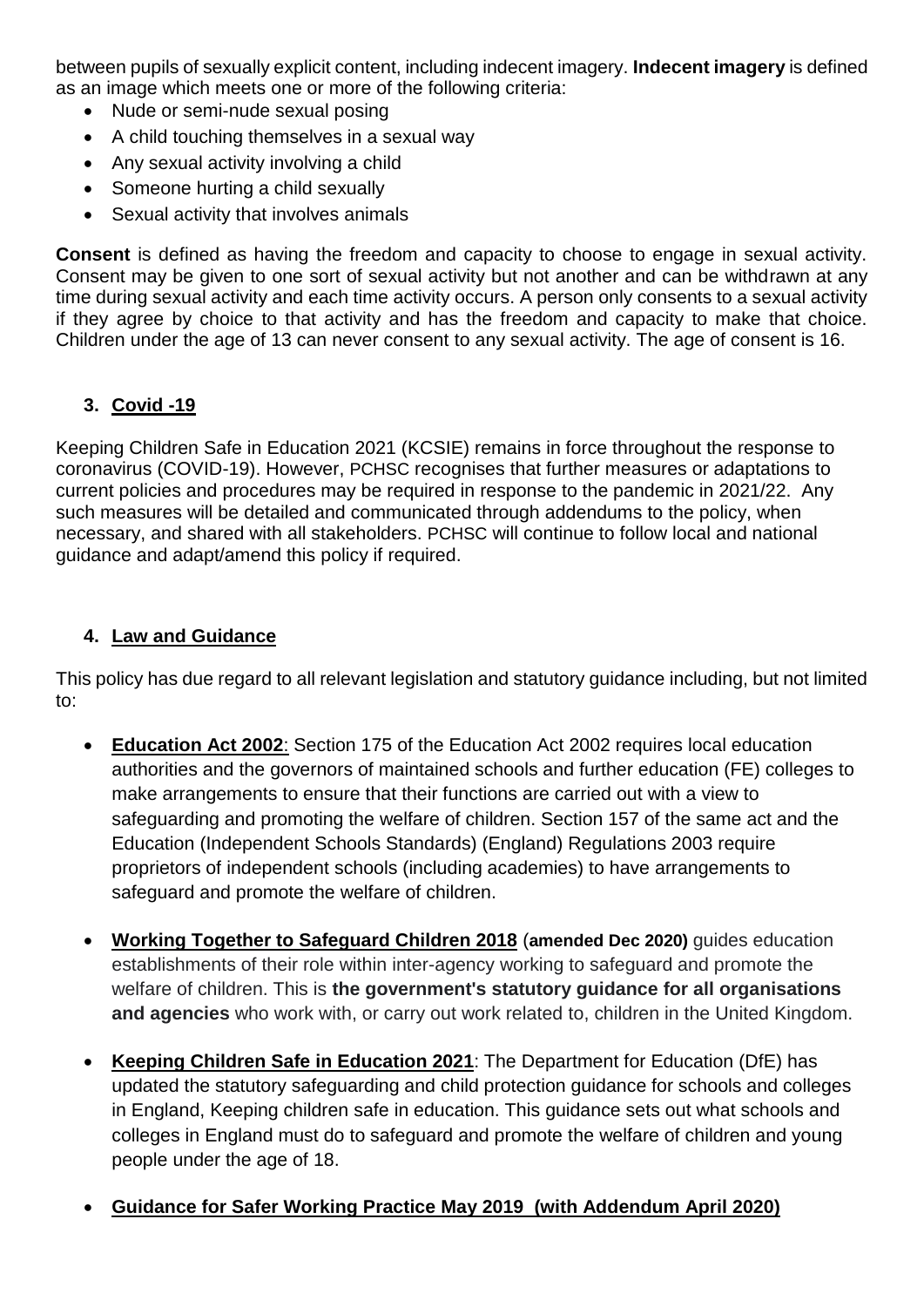between pupils of sexually explicit content, including indecent imagery. **Indecent imagery** is defined as an image which meets one or more of the following criteria:

- Nude or semi-nude sexual posing
- A child touching themselves in a sexual way
- Any sexual activity involving a child
- Someone hurting a child sexually
- Sexual activity that involves animals

**Consent** is defined as having the freedom and capacity to choose to engage in sexual activity. Consent may be given to one sort of sexual activity but not another and can be withdrawn at any time during sexual activity and each time activity occurs. A person only consents to a sexual activity if they agree by choice to that activity and has the freedom and capacity to make that choice. Children under the age of 13 can never consent to any sexual activity. The age of consent is 16.

## **3. Covid -19**

Keeping Children Safe in Education 2021 (KCSIE) remains in force throughout the response to coronavirus (COVID-19). However, PCHSC recognises that further measures or adaptations to current policies and procedures may be required in response to the pandemic in 2021/22. Any such measures will be detailed and communicated through addendums to the policy, when necessary, and shared with all stakeholders. PCHSC will continue to follow local and national guidance and adapt/amend this policy if required.

#### **4. Law and Guidance**

This policy has due regard to all relevant legislation and statutory guidance including, but not limited to:

- **[Education Act 2002](http://www.legislation.gov.uk/ukpga/2002/32/contents)**: Section 175 of the Education Act 2002 requires local education authorities and the governors of maintained schools and further education (FE) colleges to make arrangements to ensure that their functions are carried out with a view to safeguarding and promoting the welfare of children. Section 157 of the same act and the Education (Independent Schools Standards) (England) Regulations 2003 require proprietors of independent schools (including academies) to have arrangements to safeguard and promote the welfare of children.
- **[Working Together to Safeguard Children 2018](https://www.gov.uk/government/publications/working-together-to-safeguard-children--2)** (**amended Dec 2020)** guides education establishments of their role within inter-agency working to safeguard and promote the welfare of children. This is **the government's statutory guidance for all organisations and agencies** who work with, or carry out work related to, children in the United Kingdom.
- **[Keeping Children Safe in Education 2021](https://assets.publishing.service.gov.uk/government/uploads/system/uploads/attachment_data/file/892394/Keeping_children_safe_in_education_2020.pdf)**: The Department for Education (DfE) has updated the statutory safeguarding and child protection guidance for schools and colleges in England, Keeping children safe in education. This guidance sets out what schools and colleges in England must do to safeguard and promote the welfare of children and young people under the age of 18.
- **Guidance for Safer Working Practice [May 2019 \(with Addendum April 2020\)](https://www.saferrecruitmentconsortium.org/GSWP%20COVID%20addendum%20April%202020%20final-1.pdf)**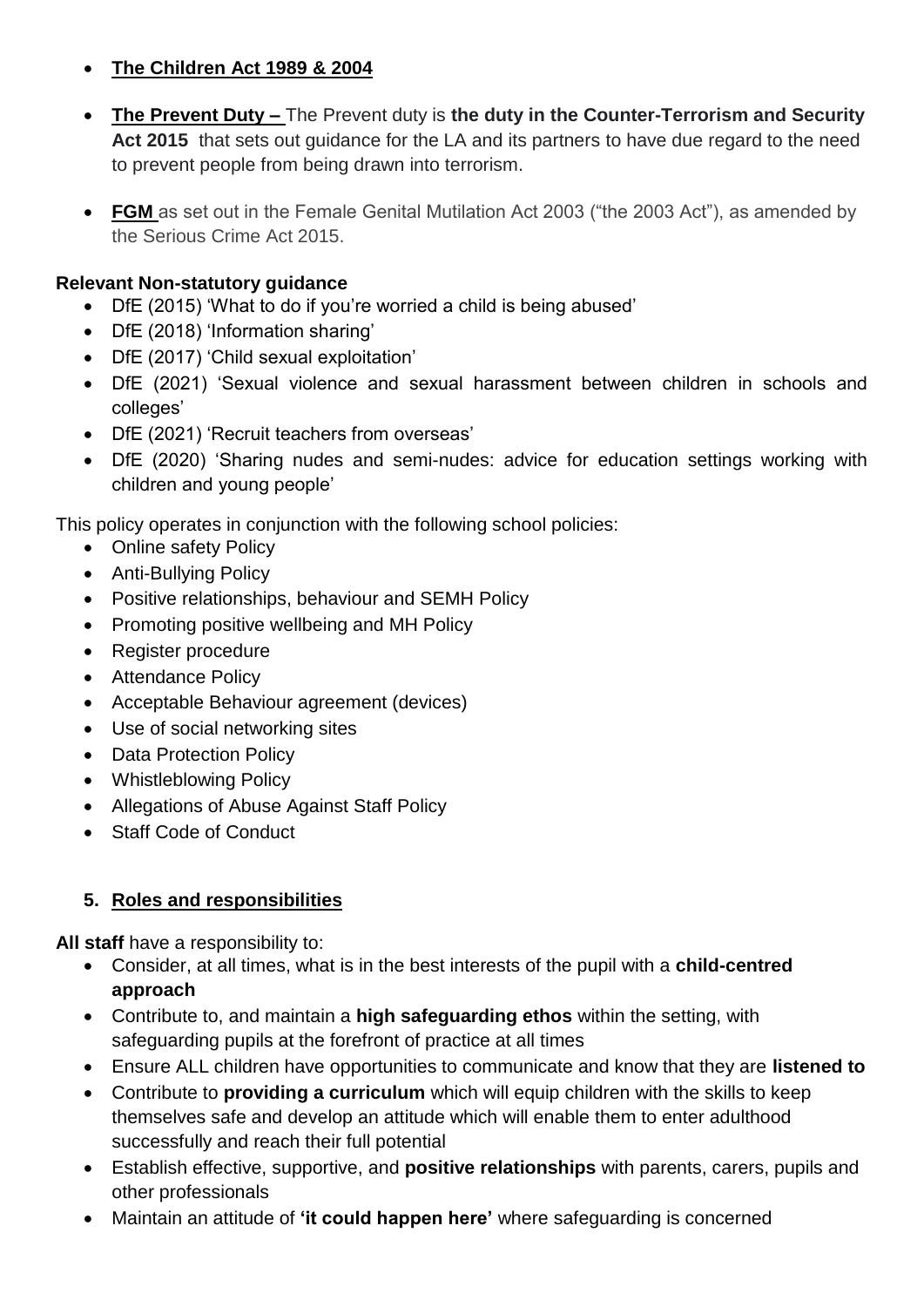## **[The Children Act 1989](http://www.legislation.gov.uk/ukpga/1989/41/contents) & 2004**

- **The Prevent Duty –** The Prevent duty is **the duty in the Counter-Terrorism and Security**  Act 2015 that sets out guidance for the LA and its partners to have due regard to the need to prevent people from being drawn into terrorism.
- FGM as set out in the Female Genital Mutilation Act 2003 ("the 2003 Act"), as amended by the Serious Crime Act 2015.

## **Relevant Non-statutory guidance**

- DfE (2015) 'What to do if you're worried a child is being abused'
- DfE (2018) 'Information sharing'
- DfE (2017) 'Child sexual exploitation'
- DfE (2021) 'Sexual violence and sexual harassment between children in schools and colleges'
- DfE (2021) 'Recruit teachers from overseas'
- DfE (2020) 'Sharing nudes and semi-nudes: advice for education settings working with children and young people'

This policy operates in conjunction with the following school policies:

- Online safety Policy
- Anti-Bullying Policy
- Positive relationships, behaviour and SEMH Policy
- Promoting positive wellbeing and MH Policy
- Register procedure
- Attendance Policy
- Acceptable Behaviour agreement (devices)
- Use of social networking sites
- Data Protection Policy
- Whistleblowing Policy
- Allegations of Abuse Against Staff Policy
- Staff Code of Conduct

# **5. Roles and responsibilities**

**All staff** have a responsibility to:

- Consider, at all times, what is in the best interests of the pupil with a **child-centred approach**
- Contribute to, and maintain a **high safeguarding ethos** within the setting, with safeguarding pupils at the forefront of practice at all times
- Ensure ALL children have opportunities to communicate and know that they are **listened to**
- Contribute to **providing a curriculum** which will equip children with the skills to keep themselves safe and develop an attitude which will enable them to enter adulthood successfully and reach their full potential
- Establish effective, supportive, and **positive relationships** with parents, carers, pupils and other professionals
- Maintain an attitude of **'it could happen here'** where safeguarding is concerned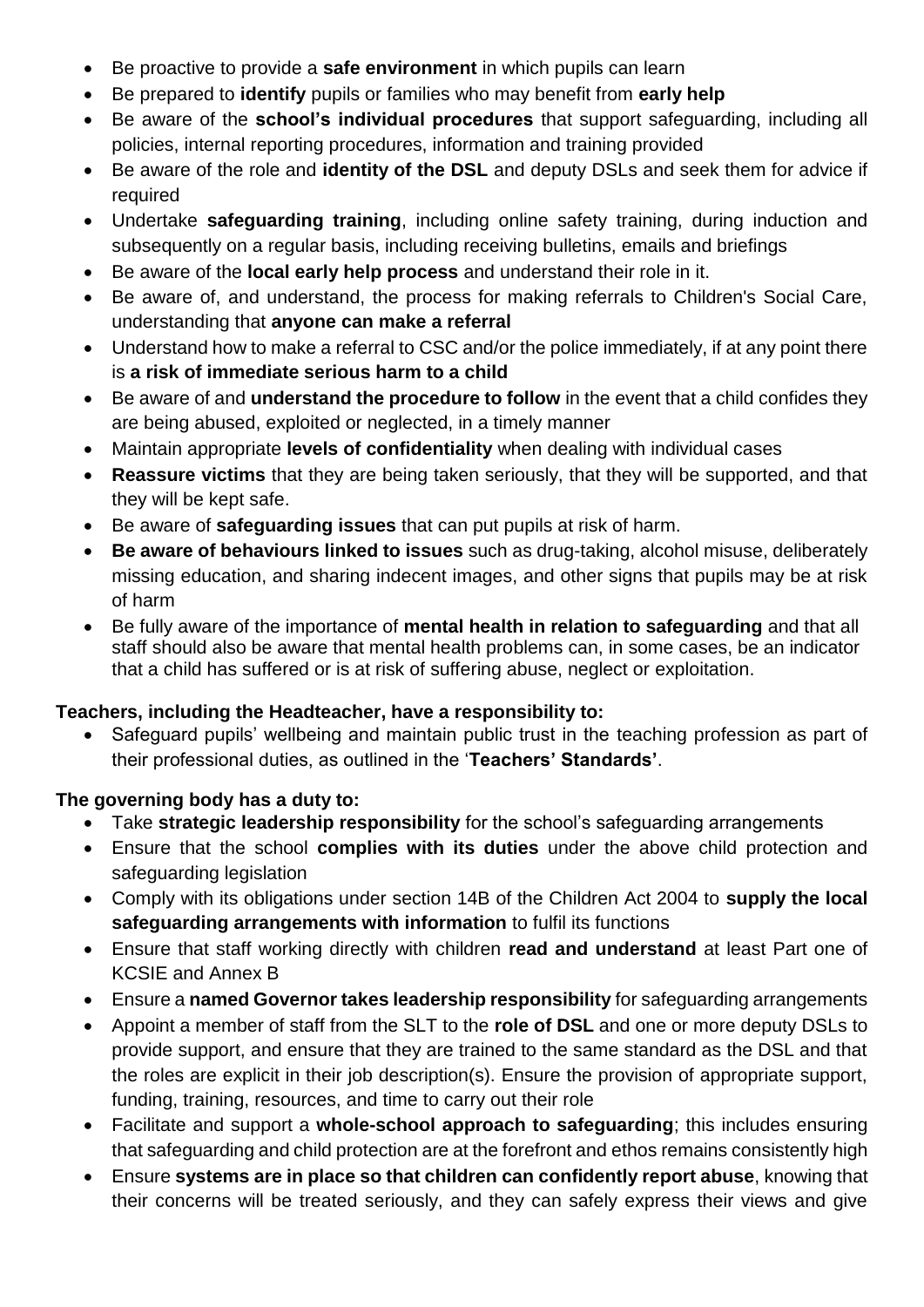- Be proactive to provide a **safe environment** in which pupils can learn
- Be prepared to **identify** pupils or families who may benefit from **early help**
- Be aware of the **school's individual procedures** that support safeguarding, including all policies, internal reporting procedures, information and training provided
- Be aware of the role and **identity of the DSL** and deputy DSLs and seek them for advice if required
- Undertake **safeguarding training**, including online safety training, during induction and subsequently on a regular basis, including receiving bulletins, emails and briefings
- Be aware of the **local early help process** and understand their role in it.
- Be aware of, and understand, the process for making referrals to Children's Social Care, understanding that **anyone can make a referral**
- Understand how to make a referral to CSC and/or the police immediately, if at any point there is **a risk of immediate serious harm to a child**
- Be aware of and **understand the procedure to follow** in the event that a child confides they are being abused, exploited or neglected, in a timely manner
- Maintain appropriate **levels of confidentiality** when dealing with individual cases
- **Reassure victims** that they are being taken seriously, that they will be supported, and that they will be kept safe.
- Be aware of **safeguarding issues** that can put pupils at risk of harm.
- **Be aware of behaviours linked to issues** such as drug-taking, alcohol misuse, deliberately missing education, and sharing indecent images, and other signs that pupils may be at risk of harm
- Be fully aware of the importance of **mental health in relation to safeguarding** and that all staff should also be aware that mental health problems can, in some cases, be an indicator that a child has suffered or is at risk of suffering abuse, neglect or exploitation.

## **Teachers, including the Headteacher, have a responsibility to:**

 Safeguard pupils' wellbeing and maintain public trust in the teaching profession as part of their professional duties, as outlined in the '**Teachers' Standards'**.

## **The governing body has a duty to:**

- Take **strategic leadership responsibility** for the school's safeguarding arrangements
- Ensure that the school **complies with its duties** under the above child protection and safeguarding legislation
- Comply with its obligations under section 14B of the Children Act 2004 to **supply the local safeguarding arrangements with information** to fulfil its functions
- Ensure that staff working directly with children **read and understand** at least Part one of KCSIE and Annex B
- Ensure a **named Governor takes leadership responsibility** for safeguarding arrangements
- Appoint a member of staff from the SLT to the **role of DSL** and one or more deputy DSLs to provide support, and ensure that they are trained to the same standard as the DSL and that the roles are explicit in their job description(s). Ensure the provision of appropriate support, funding, training, resources, and time to carry out their role
- Facilitate and support a **whole-school approach to safeguarding**; this includes ensuring that safeguarding and child protection are at the forefront and ethos remains consistently high
- Ensure **systems are in place so that children can confidently report abuse**, knowing that their concerns will be treated seriously, and they can safely express their views and give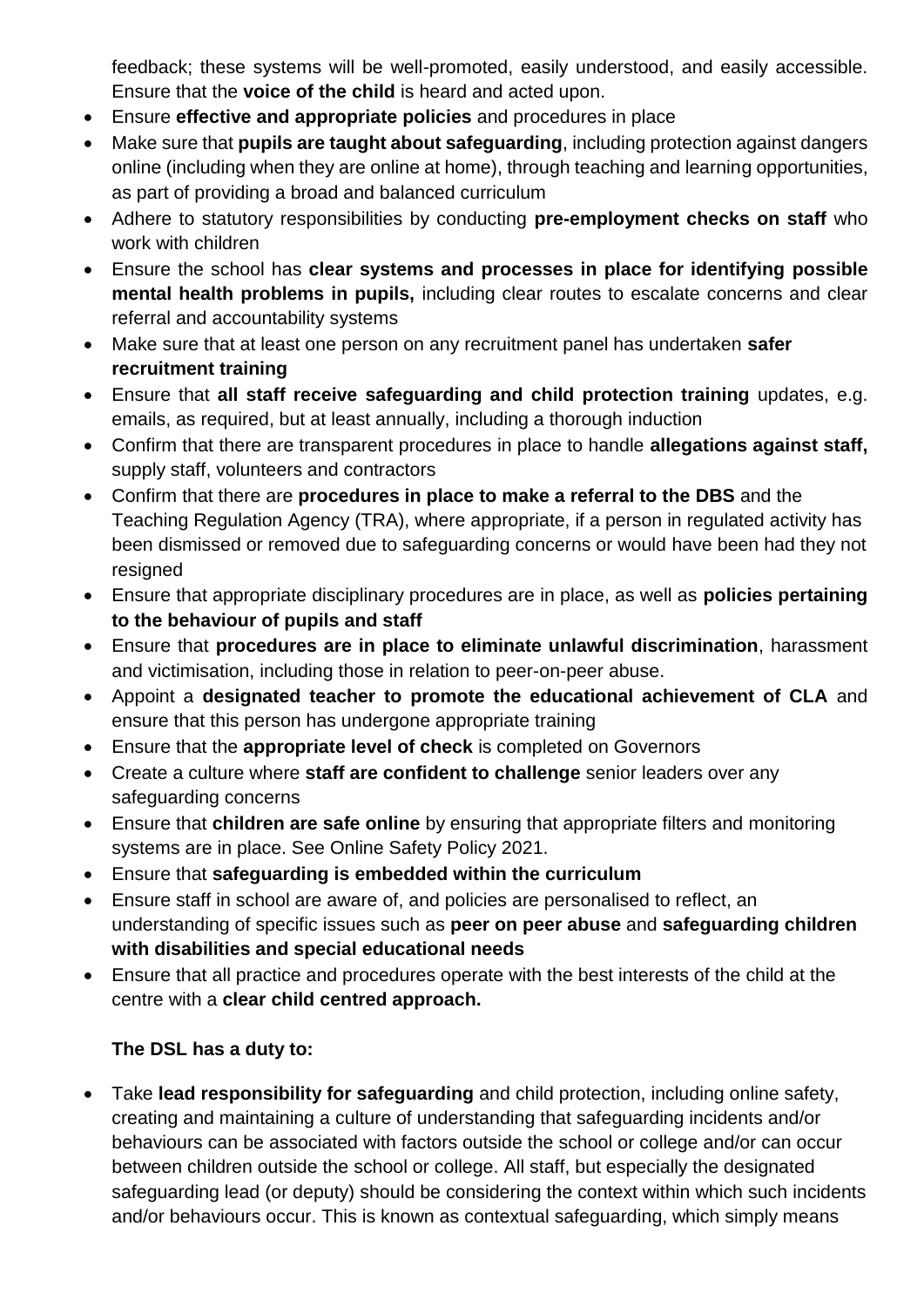feedback; these systems will be well-promoted, easily understood, and easily accessible. Ensure that the **voice of the child** is heard and acted upon.

- Ensure **effective and appropriate policies** and procedures in place
- Make sure that **pupils are taught about safeguarding**, including protection against dangers online (including when they are online at home), through teaching and learning opportunities, as part of providing a broad and balanced curriculum
- Adhere to statutory responsibilities by conducting **pre-employment checks on staff** who work with children
- Ensure the school has **clear systems and processes in place for identifying possible mental health problems in pupils,** including clear routes to escalate concerns and clear referral and accountability systems
- Make sure that at least one person on any recruitment panel has undertaken **safer recruitment training**
- Ensure that **all staff receive safeguarding and child protection training** updates, e.g. emails, as required, but at least annually, including a thorough induction
- Confirm that there are transparent procedures in place to handle **allegations against staff,** supply staff, volunteers and contractors
- Confirm that there are **procedures in place to make a referral to the DBS** and the Teaching Regulation Agency (TRA), where appropriate, if a person in regulated activity has been dismissed or removed due to safeguarding concerns or would have been had they not resigned
- Ensure that appropriate disciplinary procedures are in place, as well as **policies pertaining to the behaviour of pupils and staff**
- Ensure that **procedures are in place to eliminate unlawful discrimination**, harassment and victimisation, including those in relation to peer-on-peer abuse.
- Appoint a **designated teacher to promote the educational achievement of CLA** and ensure that this person has undergone appropriate training
- Ensure that the **appropriate level of check** is completed on Governors
- Create a culture where **staff are confident to challenge** senior leaders over any safeguarding concerns
- Ensure that **children are safe online** by ensuring that appropriate filters and monitoring systems are in place. See Online Safety Policy 2021.
- Ensure that **safeguarding is embedded within the curriculum**
- Ensure staff in school are aware of, and policies are personalised to reflect, an understanding of specific issues such as **peer on peer abuse** and **safeguarding children with disabilities and special educational needs**
- Ensure that all practice and procedures operate with the best interests of the child at the centre with a **clear child centred approach.**

# **The DSL has a duty to:**

 Take **lead responsibility for safeguarding** and child protection, including online safety, creating and maintaining a culture of understanding that safeguarding incidents and/or behaviours can be associated with factors outside the school or college and/or can occur between children outside the school or college. All staff, but especially the designated safeguarding lead (or deputy) should be considering the context within which such incidents and/or behaviours occur. This is known as contextual safeguarding, which simply means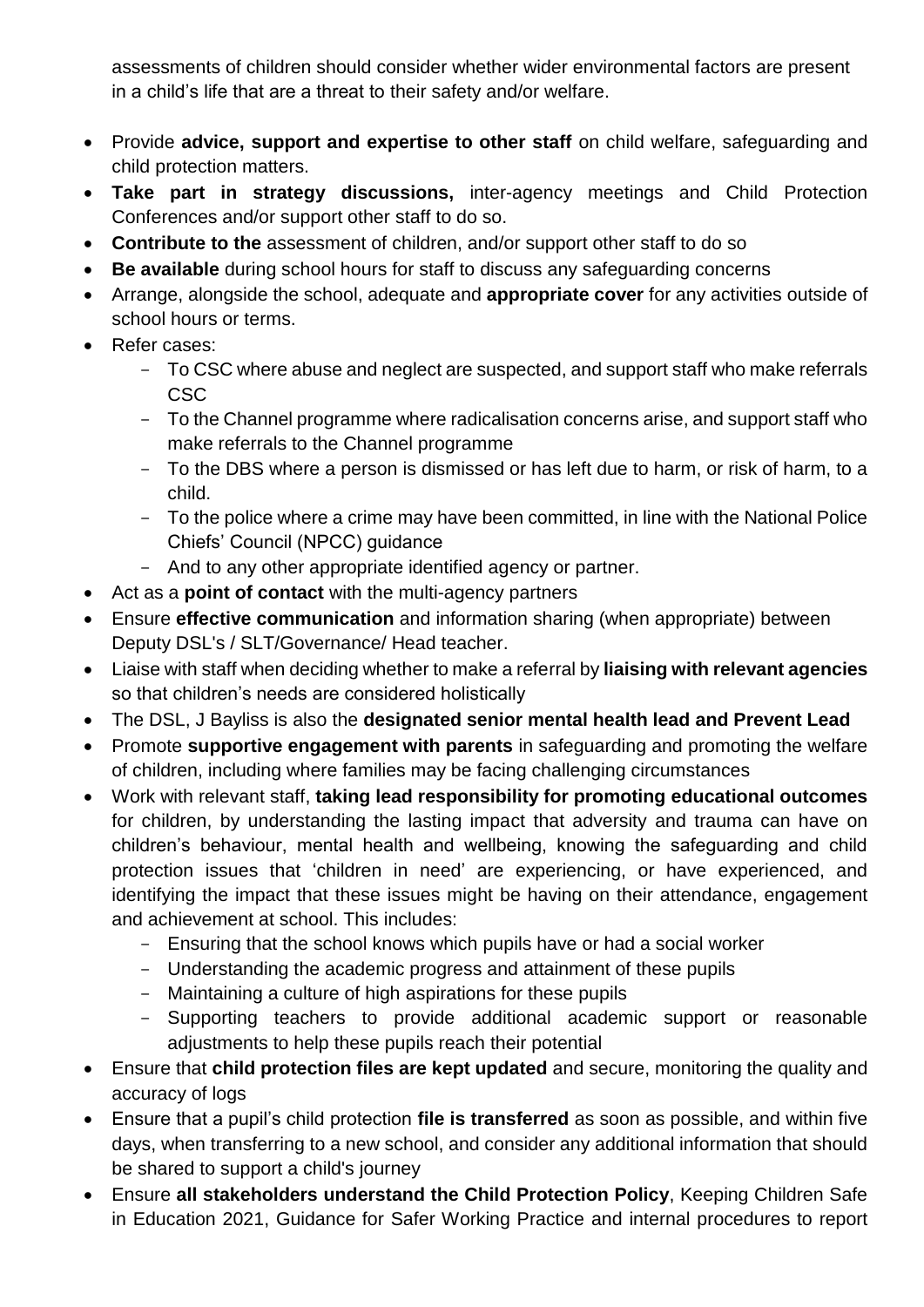assessments of children should consider whether wider environmental factors are present in a child's life that are a threat to their safety and/or welfare.

- Provide **advice, support and expertise to other staff** on child welfare, safeguarding and child protection matters.
- **Take part in strategy discussions,** inter-agency meetings and Child Protection Conferences and/or support other staff to do so.
- **Contribute to the** assessment of children, and/or support other staff to do so
- **Be available** during school hours for staff to discuss any safeguarding concerns
- Arrange, alongside the school, adequate and **appropriate cover** for any activities outside of school hours or terms.
- Refer cases:
	- To CSC where abuse and neglect are suspected, and support staff who make referrals CSC
	- To the Channel programme where radicalisation concerns arise, and support staff who make referrals to the Channel programme
	- To the DBS where a person is dismissed or has left due to harm, or risk of harm, to a child.
	- To the police where a crime may have been committed, in line with the National Police Chiefs' Council (NPCC) guidance
	- And to any other appropriate identified agency or partner.
- Act as a **point of contact** with the multi-agency partners
- Ensure **effective communication** and information sharing (when appropriate) between Deputy DSL's / SLT/Governance/ Head teacher.
- Liaise with staff when deciding whether to make a referral by **liaising with relevant agencies** so that children's needs are considered holistically
- The DSL, J Bayliss is also the **designated senior mental health lead and Prevent Lead**
- Promote **supportive engagement with parents** in safeguarding and promoting the welfare of children, including where families may be facing challenging circumstances
- Work with relevant staff, **taking lead responsibility for promoting educational outcomes** for children, by understanding the lasting impact that adversity and trauma can have on children's behaviour, mental health and wellbeing, knowing the safeguarding and child protection issues that 'children in need' are experiencing, or have experienced, and identifying the impact that these issues might be having on their attendance, engagement and achievement at school. This includes:
	- Ensuring that the school knows which pupils have or had a social worker
	- Understanding the academic progress and attainment of these pupils
	- Maintaining a culture of high aspirations for these pupils
	- Supporting teachers to provide additional academic support or reasonable adjustments to help these pupils reach their potential
- Ensure that **child protection files are kept updated** and secure, monitoring the quality and accuracy of logs
- Ensure that a pupil's child protection **file is transferred** as soon as possible, and within five days, when transferring to a new school, and consider any additional information that should be shared to support a child's journey
- Ensure **all stakeholders understand the Child Protection Policy**, Keeping Children Safe in Education 2021, Guidance for Safer Working Practice and internal procedures to report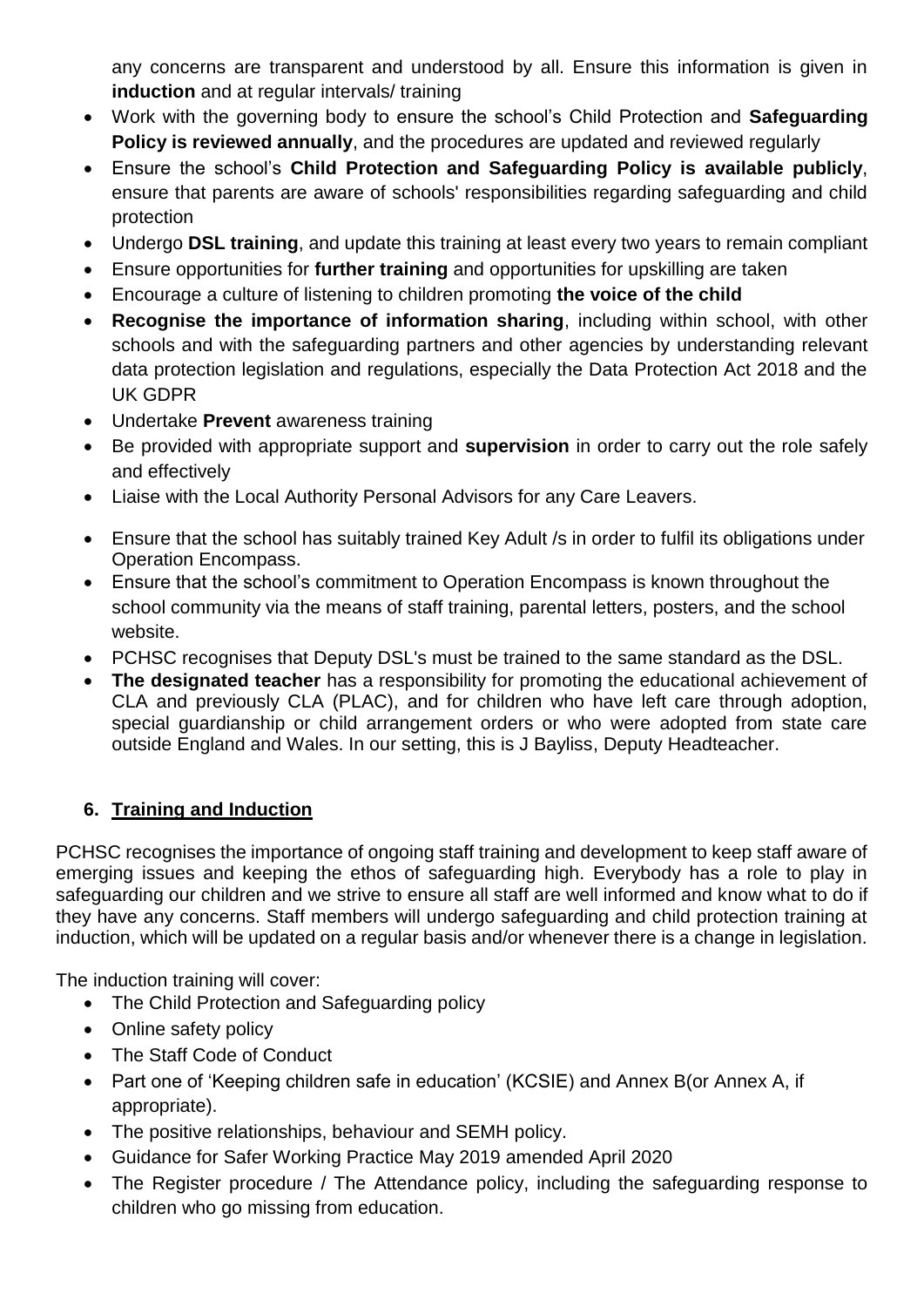any concerns are transparent and understood by all. Ensure this information is given in **induction** and at regular intervals/ training

- Work with the governing body to ensure the school's Child Protection and **Safeguarding Policy is reviewed annually**, and the procedures are updated and reviewed regularly
- Ensure the school's **Child Protection and Safeguarding Policy is available publicly**, ensure that parents are aware of schools' responsibilities regarding safeguarding and child protection
- Undergo **DSL training**, and update this training at least every two years to remain compliant
- Ensure opportunities for **further training** and opportunities for upskilling are taken
- Encourage a culture of listening to children promoting **the voice of the child**
- **Recognise the importance of information sharing**, including within school, with other schools and with the safeguarding partners and other agencies by understanding relevant data protection legislation and regulations, especially the Data Protection Act 2018 and the UK GDPR
- Undertake **Prevent** awareness training
- Be provided with appropriate support and **supervision** in order to carry out the role safely and effectively
- Liaise with the Local Authority Personal Advisors for any Care Leavers.
- Ensure that the school has suitably trained Key Adult /s in order to fulfil its obligations under Operation Encompass.
- Ensure that the school's commitment to Operation Encompass is known throughout the school community via the means of staff training, parental letters, posters, and the school website.
- PCHSC recognises that Deputy DSL's must be trained to the same standard as the DSL.
- **The designated teacher** has a responsibility for promoting the educational achievement of CLA and previously CLA (PLAC), and for children who have left care through adoption, special guardianship or child arrangement orders or who were adopted from state care outside England and Wales. In our setting, this is J Bayliss, Deputy Headteacher.

## **6. Training and Induction**

PCHSC recognises the importance of ongoing staff training and development to keep staff aware of emerging issues and keeping the ethos of safeguarding high. Everybody has a role to play in safeguarding our children and we strive to ensure all staff are well informed and know what to do if they have any concerns. Staff members will undergo safeguarding and child protection training at induction, which will be updated on a regular basis and/or whenever there is a change in legislation.

The induction training will cover:

- The Child Protection and Safeguarding policy
- Online safety policy
- The Staff Code of Conduct
- Part one of 'Keeping children safe in education' (KCSIE) and Annex B(or Annex A, if appropriate).
- The positive relationships, behaviour and SEMH policy.
- Guidance for Safer Working Practice May 2019 amended April 2020
- The Register procedure / The Attendance policy, including the safeguarding response to children who go missing from education.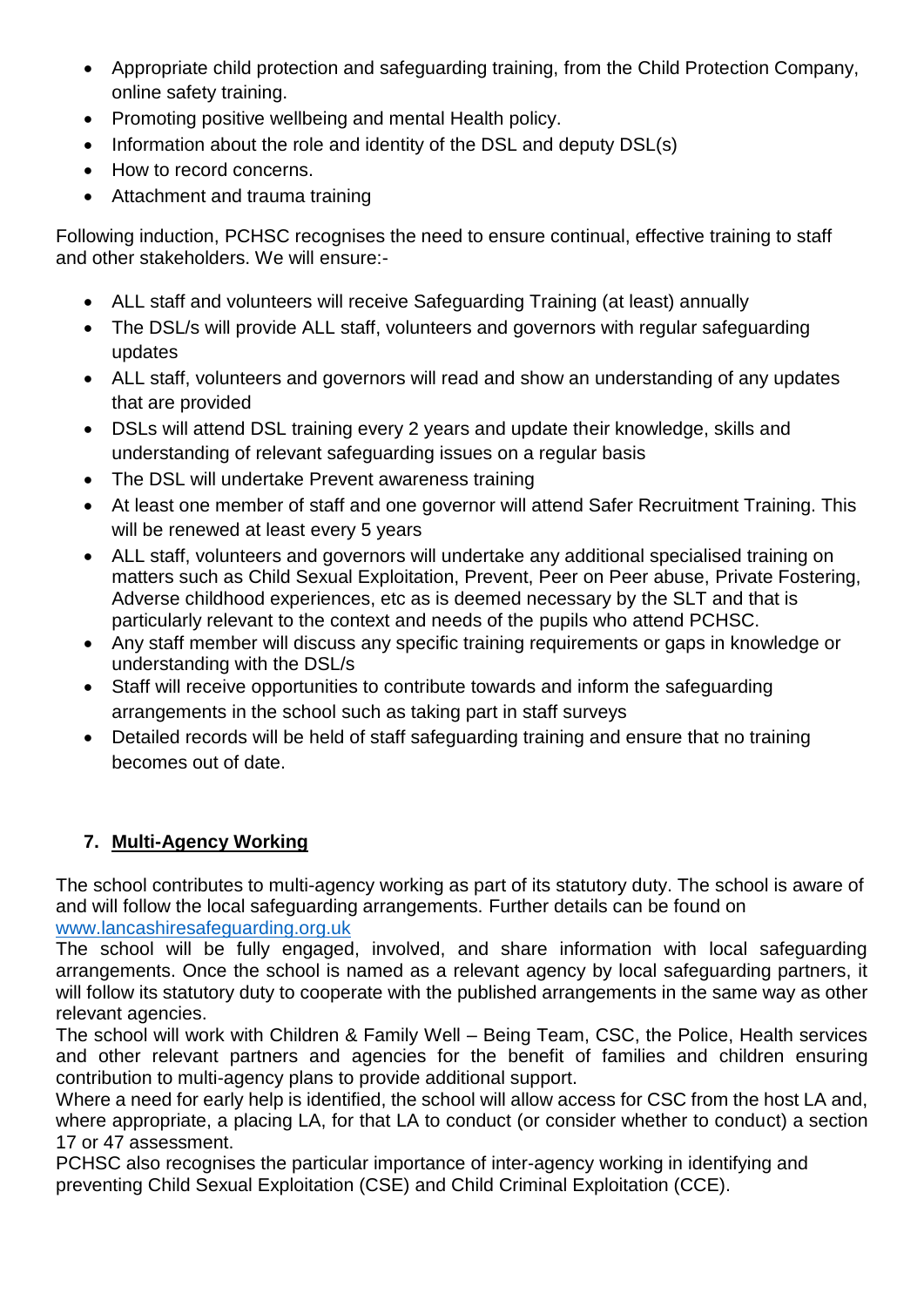- Appropriate child protection and safeguarding training, from the Child Protection Company, online safety training.
- Promoting positive wellbeing and mental Health policy.
- Information about the role and identity of the DSL and deputy DSL(s)
- How to record concerns.
- Attachment and trauma training

Following induction, PCHSC recognises the need to ensure continual, effective training to staff and other stakeholders. We will ensure:-

- ALL staff and volunteers will receive Safeguarding Training (at least) annually
- The DSL/s will provide ALL staff, volunteers and governors with regular safeguarding updates
- ALL staff, volunteers and governors will read and show an understanding of any updates that are provided
- DSLs will attend DSL training every 2 years and update their knowledge, skills and understanding of relevant safeguarding issues on a regular basis
- The DSL will undertake Prevent awareness training
- At least one member of staff and one governor will attend Safer Recruitment Training. This will be renewed at least every 5 years
- ALL staff, volunteers and governors will undertake any additional specialised training on matters such as Child Sexual Exploitation, Prevent, Peer on Peer abuse, Private Fostering, Adverse childhood experiences, etc as is deemed necessary by the SLT and that is particularly relevant to the context and needs of the pupils who attend PCHSC.
- Any staff member will discuss any specific training requirements or gaps in knowledge or understanding with the DSL/s
- Staff will receive opportunities to contribute towards and inform the safeguarding arrangements in the school such as taking part in staff surveys
- Detailed records will be held of staff safeguarding training and ensure that no training becomes out of date.

# **7. Multi-Agency Working**

The school contributes to multi-agency working as part of its statutory duty. The school is aware of and will follow the local safeguarding arrangements. Further details can be found on [www.lancashiresafeguarding.org.uk](http://www.lancashiresafeguarding.org.uk/)

The school will be fully engaged, involved, and share information with local safeguarding arrangements. Once the school is named as a relevant agency by local safeguarding partners, it will follow its statutory duty to cooperate with the published arrangements in the same way as other relevant agencies.

The school will work with Children & Family Well – Being Team, CSC, the Police, Health services and other relevant partners and agencies for the benefit of families and children ensuring contribution to multi-agency plans to provide additional support.

Where a need for early help is identified, the school will allow access for CSC from the host LA and, where appropriate, a placing LA, for that LA to conduct (or consider whether to conduct) a section 17 or 47 assessment.

PCHSC also recognises the particular importance of inter-agency working in identifying and preventing Child Sexual Exploitation (CSE) and Child Criminal Exploitation (CCE).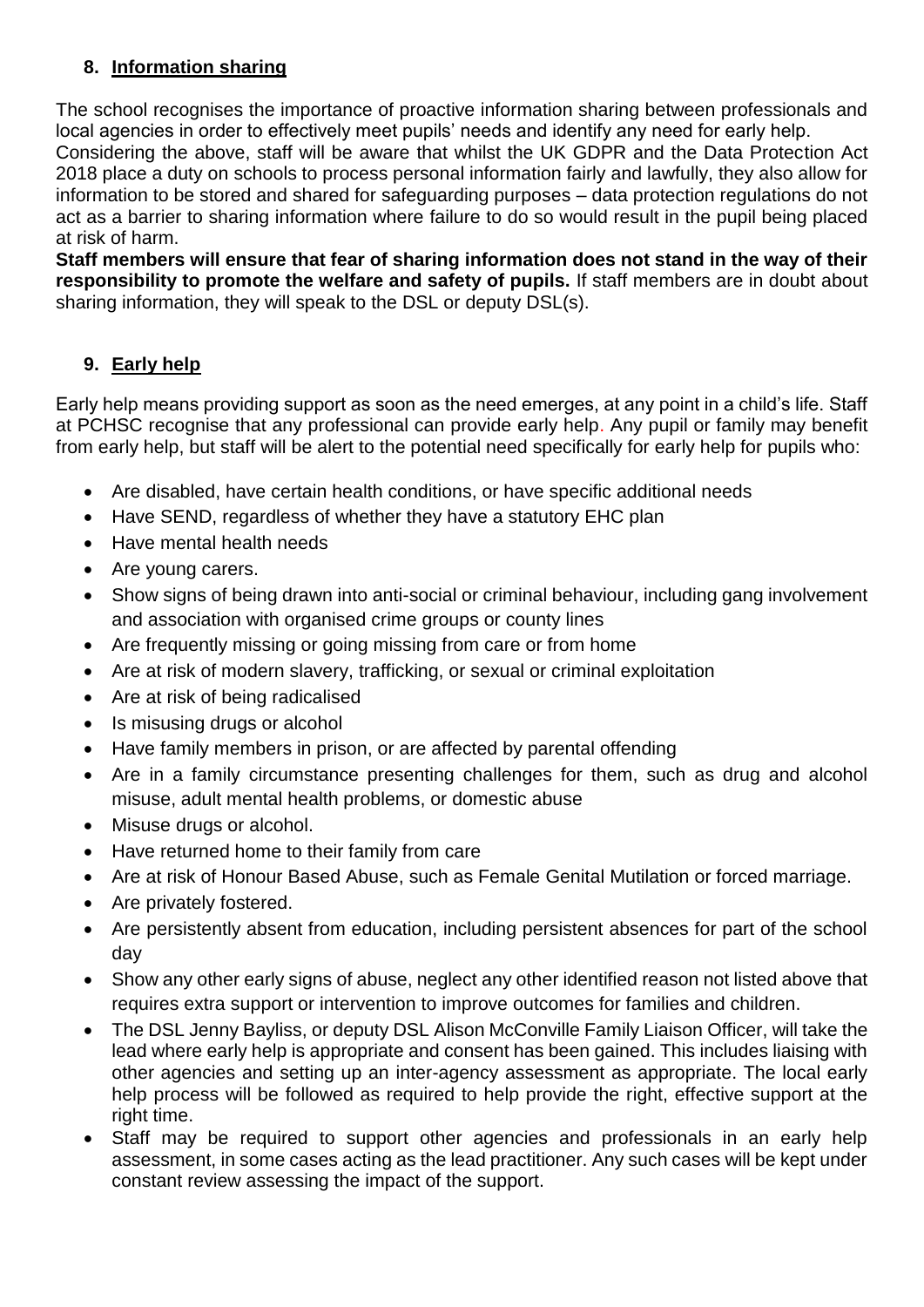## **8. Information sharing**

The school recognises the importance of proactive information sharing between professionals and local agencies in order to effectively meet pupils' needs and identify any need for early help. Considering the above, staff will be aware that whilst the UK GDPR and the Data Protection Act 2018 place a duty on schools to process personal information fairly and lawfully, they also allow for information to be stored and shared for safeguarding purposes – data protection regulations do not act as a barrier to sharing information where failure to do so would result in the pupil being placed

at risk of harm. **Staff members will ensure that fear of sharing information does not stand in the way of their responsibility to promote the welfare and safety of pupils.** If staff members are in doubt about sharing information, they will speak to the DSL or deputy DSL(s).

## **9. Early help**

Early help means providing support as soon as the need emerges, at any point in a child's life. Staff at PCHSC recognise that any professional can provide early help. Any pupil or family may benefit from early help, but staff will be alert to the potential need specifically for early help for pupils who:

- Are disabled, have certain health conditions, or have specific additional needs
- Have SEND, regardless of whether they have a statutory EHC plan
- Have mental health needs
- Are young carers.
- Show signs of being drawn into anti-social or criminal behaviour, including gang involvement and association with organised crime groups or county lines
- Are frequently missing or going missing from care or from home
- Are at risk of modern slavery, trafficking, or sexual or criminal exploitation
- Are at risk of being radicalised
- Is misusing drugs or alcohol
- Have family members in prison, or are affected by parental offending
- Are in a family circumstance presenting challenges for them, such as drug and alcohol misuse, adult mental health problems, or domestic abuse
- Misuse drugs or alcohol.
- Have returned home to their family from care
- Are at risk of Honour Based Abuse, such as Female Genital Mutilation or forced marriage.
- Are privately fostered.
- Are persistently absent from education, including persistent absences for part of the school day
- Show any other early signs of abuse, neglect any other identified reason not listed above that requires extra support or intervention to improve outcomes for families and children.
- The DSL Jenny Bayliss, or deputy DSL Alison McConville Family Liaison Officer, will take the lead where early help is appropriate and consent has been gained. This includes liaising with other agencies and setting up an inter-agency assessment as appropriate. The local early help process will be followed as required to help provide the right, effective support at the right time.
- Staff may be required to support other agencies and professionals in an early help assessment, in some cases acting as the lead practitioner. Any such cases will be kept under constant review assessing the impact of the support.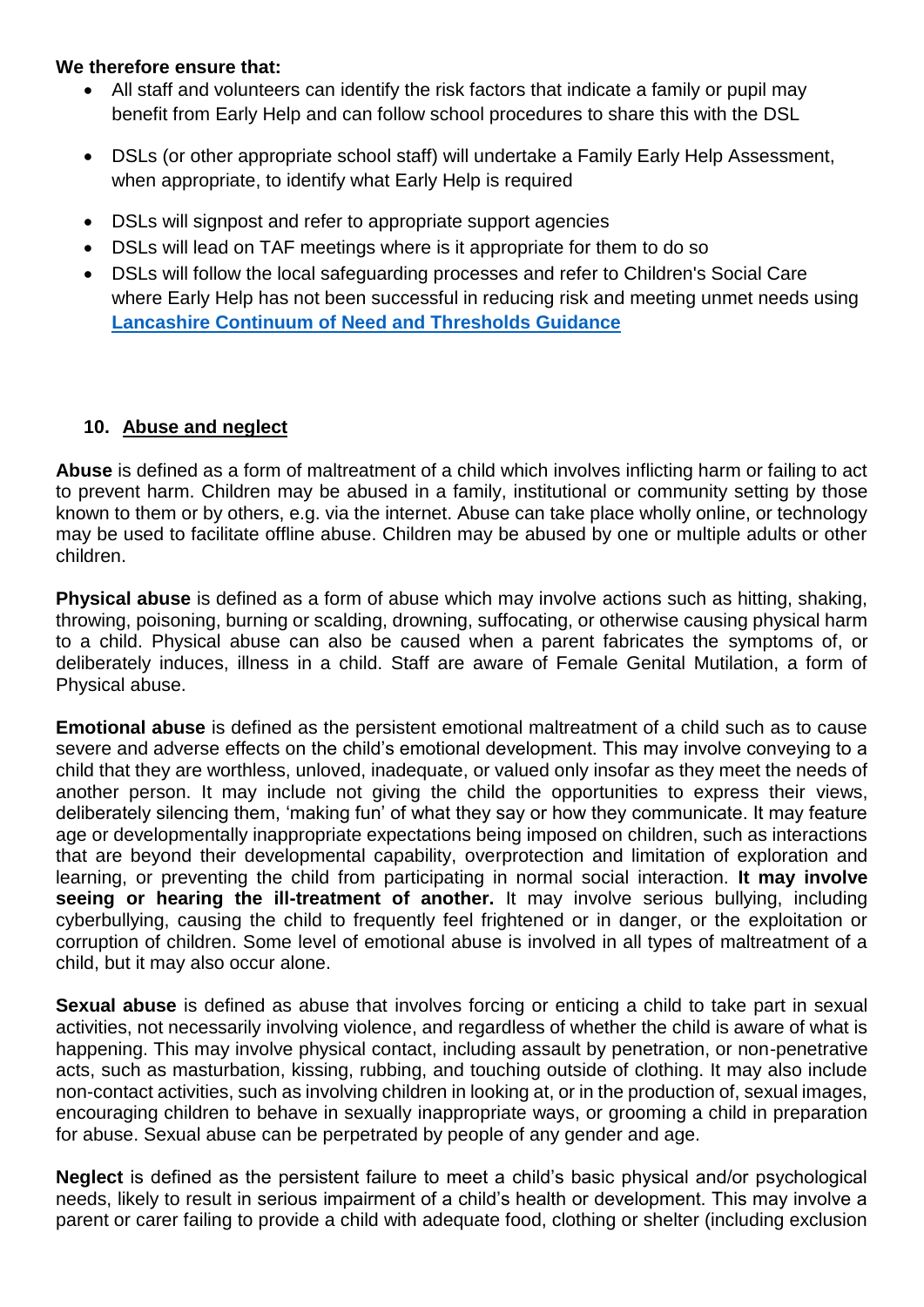#### **We therefore ensure that:**

- All staff and volunteers can identify the risk factors that indicate a family or pupil may benefit from Early Help and can follow school procedures to share this with the DSL
- DSLs (or other appropriate school staff) will undertake a Family Early Help Assessment, when appropriate, to identify what Early Help is required
- DSLs will signpost and refer to appropriate support agencies
- DSLs will lead on TAF meetings where is it appropriate for them to do so
- DSLs will follow the local safeguarding processes and refer to Children's Social Care where Early Help has not been successful in reducing risk and meeting unmet needs using **[Lancashire Continuum of Need and Thresholds Guidance](http://www.lancashiresafeguarding.org.uk/resources/assessment-and-referral.aspx)**

## **10. Abuse and neglect**

**Abuse** is defined as a form of maltreatment of a child which involves inflicting harm or failing to act to prevent harm. Children may be abused in a family, institutional or community setting by those known to them or by others, e.g. via the internet. Abuse can take place wholly online, or technology may be used to facilitate offline abuse. Children may be abused by one or multiple adults or other children.

**Physical abuse** is defined as a form of abuse which may involve actions such as hitting, shaking, throwing, poisoning, burning or scalding, drowning, suffocating, or otherwise causing physical harm to a child. Physical abuse can also be caused when a parent fabricates the symptoms of, or deliberately induces, illness in a child. Staff are aware of Female Genital Mutilation, a form of Physical abuse.

**Emotional abuse** is defined as the persistent emotional maltreatment of a child such as to cause severe and adverse effects on the child's emotional development. This may involve conveying to a child that they are worthless, unloved, inadequate, or valued only insofar as they meet the needs of another person. It may include not giving the child the opportunities to express their views, deliberately silencing them, 'making fun' of what they say or how they communicate. It may feature age or developmentally inappropriate expectations being imposed on children, such as interactions that are beyond their developmental capability, overprotection and limitation of exploration and learning, or preventing the child from participating in normal social interaction. **It may involve seeing or hearing the ill-treatment of another.** It may involve serious bullying, including cyberbullying, causing the child to frequently feel frightened or in danger, or the exploitation or corruption of children. Some level of emotional abuse is involved in all types of maltreatment of a child, but it may also occur alone.

**Sexual abuse** is defined as abuse that involves forcing or enticing a child to take part in sexual activities, not necessarily involving violence, and regardless of whether the child is aware of what is happening. This may involve physical contact, including assault by penetration, or non-penetrative acts, such as masturbation, kissing, rubbing, and touching outside of clothing. It may also include non-contact activities, such as involving children in looking at, or in the production of, sexual images, encouraging children to behave in sexually inappropriate ways, or grooming a child in preparation for abuse. Sexual abuse can be perpetrated by people of any gender and age.

**Neglect** is defined as the persistent failure to meet a child's basic physical and/or psychological needs, likely to result in serious impairment of a child's health or development. This may involve a parent or carer failing to provide a child with adequate food, clothing or shelter (including exclusion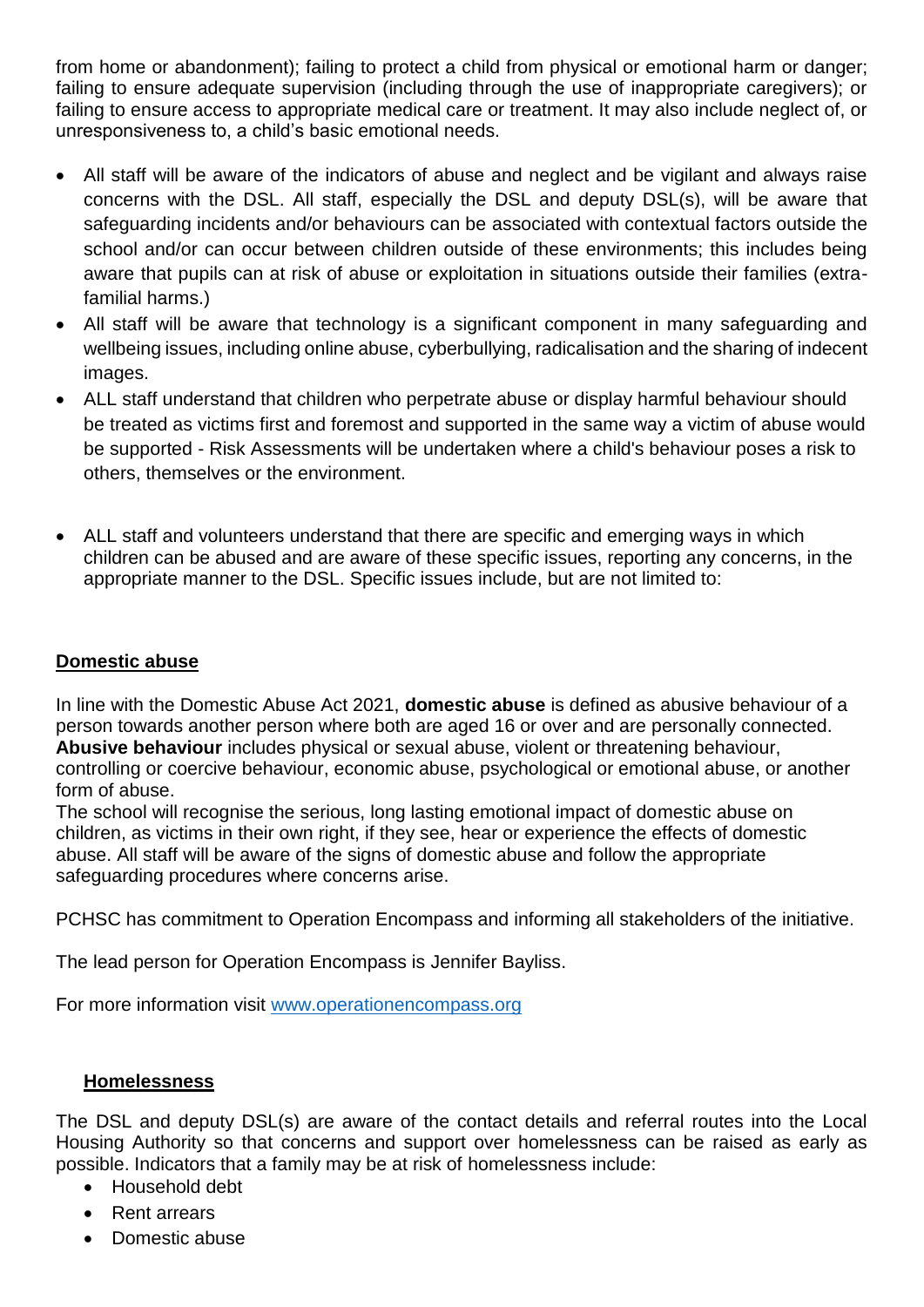from home or abandonment); failing to protect a child from physical or emotional harm or danger; failing to ensure adequate supervision (including through the use of inappropriate caregivers); or failing to ensure access to appropriate medical care or treatment. It may also include neglect of, or unresponsiveness to, a child's basic emotional needs.

- All staff will be aware of the indicators of abuse and neglect and be vigilant and always raise concerns with the DSL. All staff, especially the DSL and deputy DSL(s), will be aware that safeguarding incidents and/or behaviours can be associated with contextual factors outside the school and/or can occur between children outside of these environments; this includes being aware that pupils can at risk of abuse or exploitation in situations outside their families (extrafamilial harms.)
- All staff will be aware that technology is a significant component in many safeguarding and wellbeing issues, including online abuse, cyberbullying, radicalisation and the sharing of indecent images.
- ALL staff understand that children who perpetrate abuse or display harmful behaviour should be treated as victims first and foremost and supported in the same way a victim of abuse would be supported - Risk Assessments will be undertaken where a child's behaviour poses a risk to others, themselves or the environment.
- ALL staff and volunteers understand that there are specific and emerging ways in which children can be abused and are aware of these specific issues, reporting any concerns, in the appropriate manner to the DSL. Specific issues include, but are not limited to:

## **Domestic abuse**

In line with the Domestic Abuse Act 2021, **domestic abuse** is defined as abusive behaviour of a person towards another person where both are aged 16 or over and are personally connected. **Abusive behaviour** includes physical or sexual abuse, violent or threatening behaviour, controlling or coercive behaviour, economic abuse, psychological or emotional abuse, or another form of abuse.

The school will recognise the serious, long lasting emotional impact of domestic abuse on children, as victims in their own right, if they see, hear or experience the effects of domestic abuse. All staff will be aware of the signs of domestic abuse and follow the appropriate safeguarding procedures where concerns arise.

PCHSC has commitment to Operation Encompass and informing all stakeholders of the initiative.

The lead person for Operation Encompass is Jennifer Bayliss.

For more information visit [www.operationencompass.org](http://www.operationencompass.org/)

## **Homelessness**

The DSL and deputy DSL(s) are aware of the contact details and referral routes into the Local Housing Authority so that concerns and support over homelessness can be raised as early as possible. Indicators that a family may be at risk of homelessness include:

- Household debt
- Rent arrears
- Domestic abuse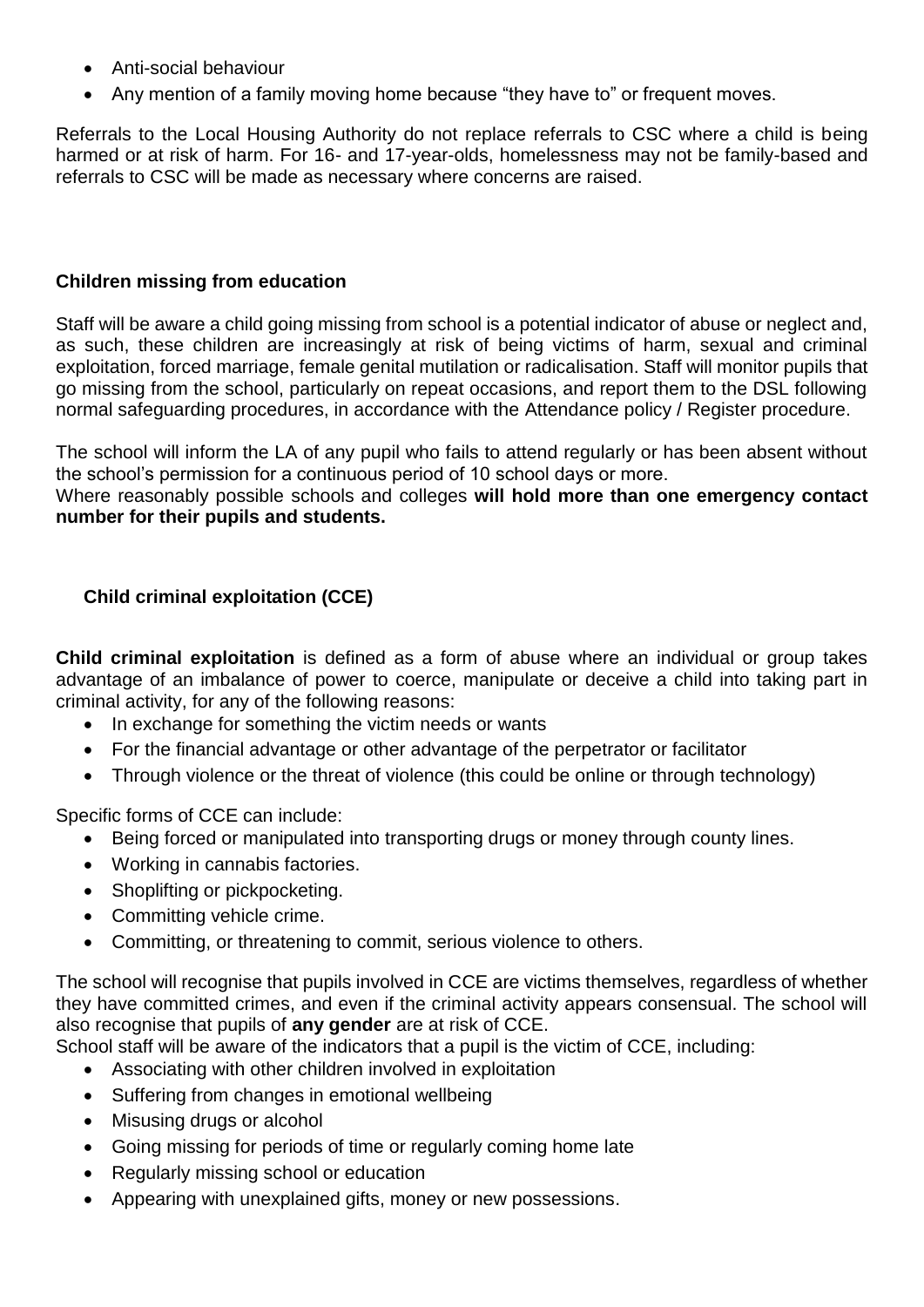- Anti-social behaviour
- Any mention of a family moving home because "they have to" or frequent moves.

Referrals to the Local Housing Authority do not replace referrals to CSC where a child is being harmed or at risk of harm. For 16- and 17-year-olds, homelessness may not be family-based and referrals to CSC will be made as necessary where concerns are raised.

#### **Children missing from education**

Staff will be aware a child going missing from school is a potential indicator of abuse or neglect and, as such, these children are increasingly at risk of being victims of harm, sexual and criminal exploitation, forced marriage, female genital mutilation or radicalisation. Staff will monitor pupils that go missing from the school, particularly on repeat occasions, and report them to the DSL following normal safeguarding procedures, in accordance with the Attendance policy / Register procedure.

The school will inform the LA of any pupil who fails to attend regularly or has been absent without the school's permission for a continuous period of 10 school days or more.

Where reasonably possible schools and colleges **will hold more than one emergency contact number for their pupils and students.** 

## **Child criminal exploitation (CCE)**

**Child criminal exploitation** is defined as a form of abuse where an individual or group takes advantage of an imbalance of power to coerce, manipulate or deceive a child into taking part in criminal activity, for any of the following reasons:

- In exchange for something the victim needs or wants
- For the financial advantage or other advantage of the perpetrator or facilitator
- Through violence or the threat of violence (this could be online or through technology)

Specific forms of CCE can include:

- Being forced or manipulated into transporting drugs or money through county lines.
- Working in cannabis factories.
- Shoplifting or pickpocketing.
- Committing vehicle crime.
- Committing, or threatening to commit, serious violence to others.

The school will recognise that pupils involved in CCE are victims themselves, regardless of whether they have committed crimes, and even if the criminal activity appears consensual. The school will also recognise that pupils of **any gender** are at risk of CCE.

School staff will be aware of the indicators that a pupil is the victim of CCE, including:

- Associating with other children involved in exploitation
- Suffering from changes in emotional wellbeing
- Misusing drugs or alcohol
- Going missing for periods of time or regularly coming home late
- Regularly missing school or education
- Appearing with unexplained gifts, money or new possessions.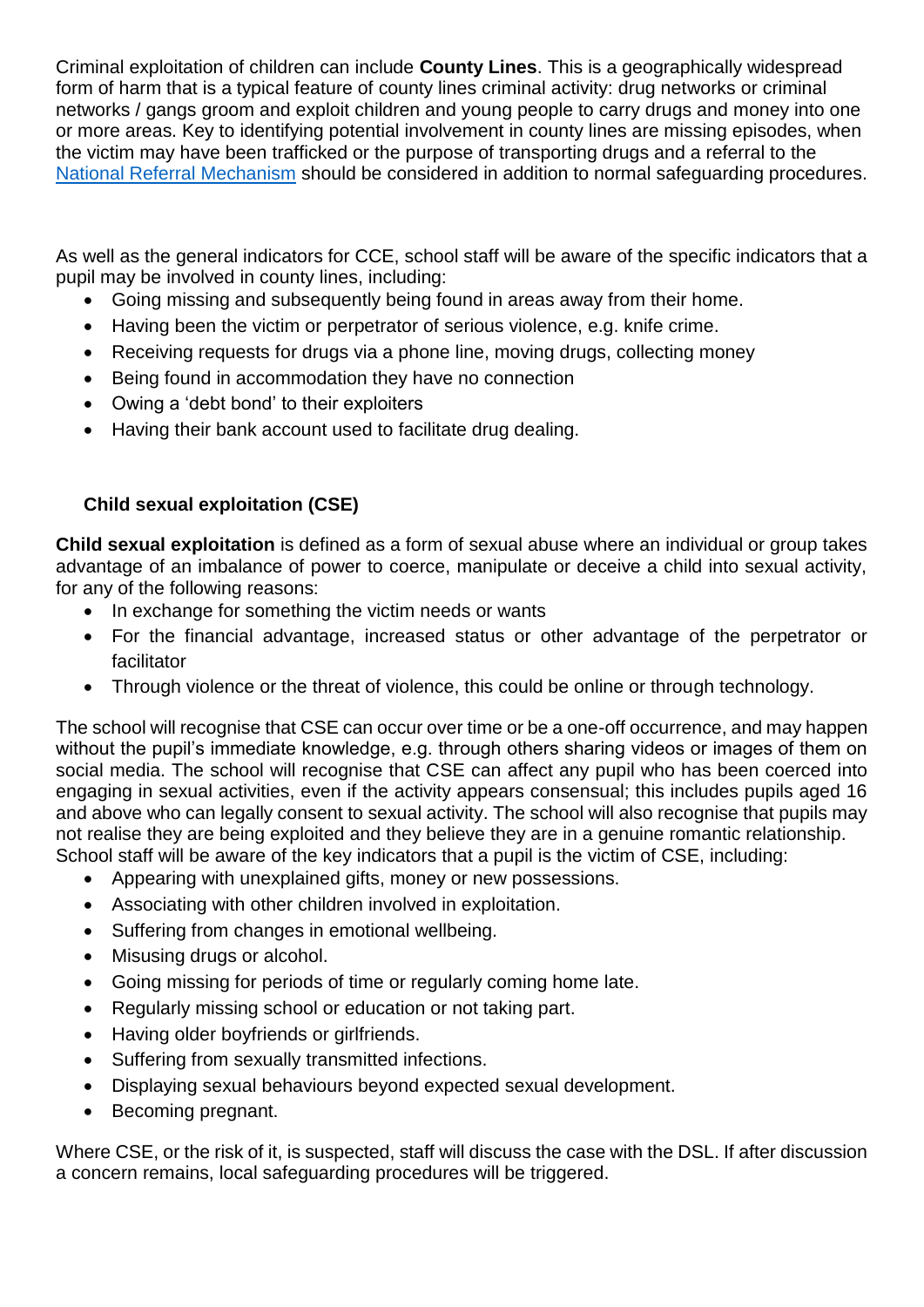Criminal exploitation of children can include **County Lines**. This is a geographically widespread form of harm that is a typical feature of county lines criminal activity: drug networks or criminal networks / gangs groom and exploit children and young people to carry drugs and money into one or more areas. Key to identifying potential involvement in county lines are missing episodes, when the victim may have been trafficked or the purpose of transporting drugs and a referral to the [National Referral Mechanism](https://www.gov.uk/government/publications/human-trafficking-victims-referral-and-assessment-forms/guidance-on-the-national-referral-mechanism-for-potential-adult-victims-of-modern-slavery-england-and-wales#what-the-national-referral-mechanism-is) should be considered in addition to normal safeguarding procedures.

As well as the general indicators for CCE, school staff will be aware of the specific indicators that a pupil may be involved in county lines, including:

- Going missing and subsequently being found in areas away from their home.
- Having been the victim or perpetrator of serious violence, e.g. knife crime.
- Receiving requests for drugs via a phone line, moving drugs, collecting money
- Being found in accommodation they have no connection
- Owing a 'debt bond' to their exploiters
- Having their bank account used to facilitate drug dealing.

## **Child sexual exploitation (CSE)**

**Child sexual exploitation** is defined as a form of sexual abuse where an individual or group takes advantage of an imbalance of power to coerce, manipulate or deceive a child into sexual activity, for any of the following reasons:

- In exchange for something the victim needs or wants
- For the financial advantage, increased status or other advantage of the perpetrator or facilitator
- Through violence or the threat of violence, this could be online or through technology.

The school will recognise that CSE can occur over time or be a one-off occurrence, and may happen without the pupil's immediate knowledge, e.g. through others sharing videos or images of them on social media. The school will recognise that CSE can affect any pupil who has been coerced into engaging in sexual activities, even if the activity appears consensual; this includes pupils aged 16 and above who can legally consent to sexual activity. The school will also recognise that pupils may not realise they are being exploited and they believe they are in a genuine romantic relationship. School staff will be aware of the key indicators that a pupil is the victim of CSE, including:

- Appearing with unexplained gifts, money or new possessions.
- Associating with other children involved in exploitation.
- Suffering from changes in emotional wellbeing.
- Misusing drugs or alcohol.
- Going missing for periods of time or regularly coming home late.
- Regularly missing school or education or not taking part.
- Having older boyfriends or girlfriends.
- Suffering from sexually transmitted infections.
- Displaying sexual behaviours beyond expected sexual development.
- Becoming pregnant.

Where CSE, or the risk of it, is suspected, staff will discuss the case with the DSL. If after discussion a concern remains, local safeguarding procedures will be triggered.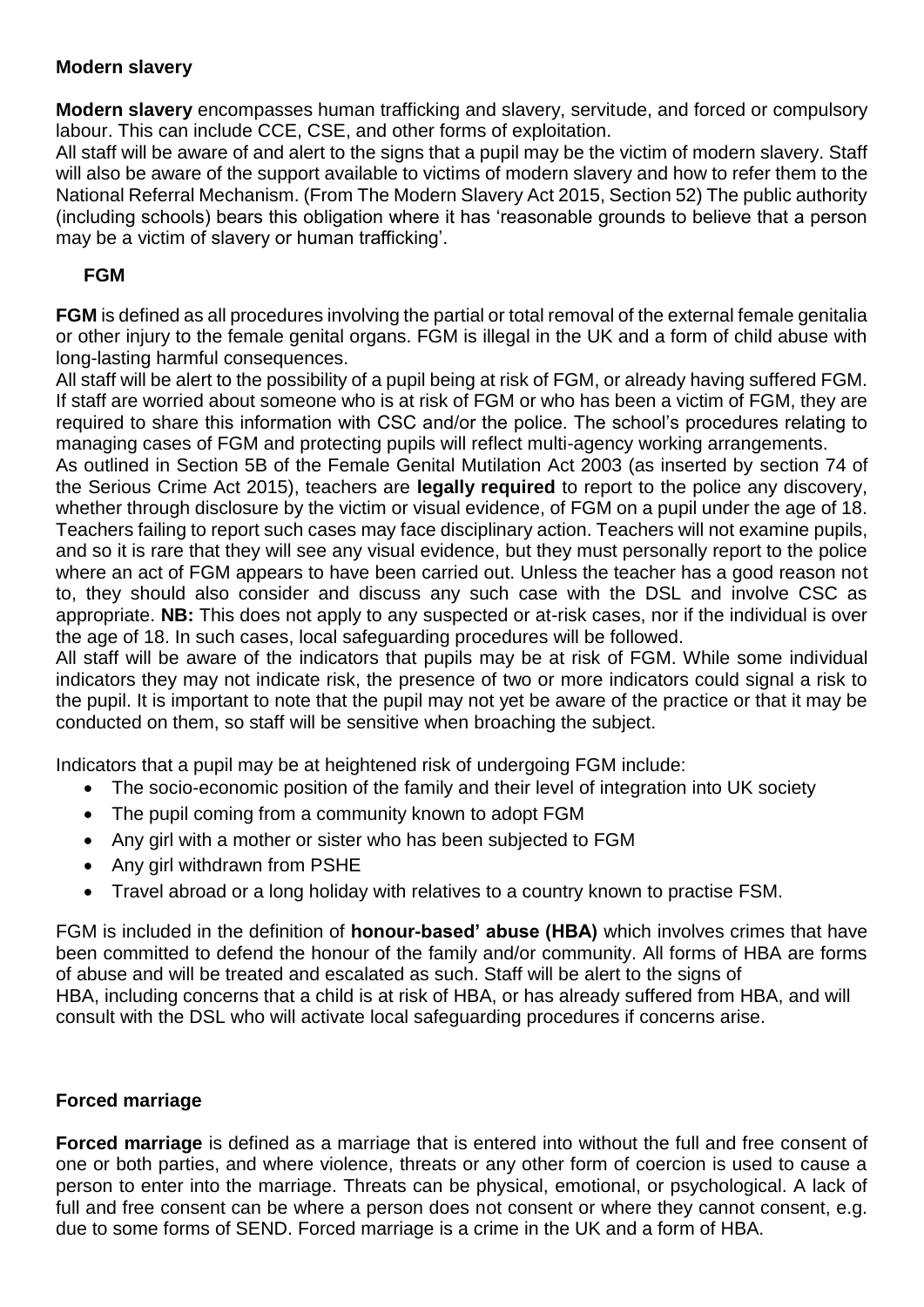## **Modern slavery**

**Modern slavery** encompasses human trafficking and slavery, servitude, and forced or compulsory labour. This can include CCE, CSE, and other forms of exploitation.

All staff will be aware of and alert to the signs that a pupil may be the victim of modern slavery. Staff will also be aware of the support available to victims of modern slavery and how to refer them to the National Referral Mechanism. (From The Modern Slavery Act 2015, Section 52) The public authority (including schools) bears this obligation where it has 'reasonable grounds to believe that a person may be a victim of slavery or human trafficking'.

## **FGM**

**FGM** is defined as all procedures involving the partial or total removal of the external female genitalia or other injury to the female genital organs. FGM is illegal in the UK and a form of child abuse with long-lasting harmful consequences.

All staff will be alert to the possibility of a pupil being at risk of FGM, or already having suffered FGM. If staff are worried about someone who is at risk of FGM or who has been a victim of FGM, they are required to share this information with CSC and/or the police. The school's procedures relating to managing cases of FGM and protecting pupils will reflect multi-agency working arrangements.

As outlined in Section 5B of the Female Genital Mutilation Act 2003 (as inserted by section 74 of the Serious Crime Act 2015), teachers are **legally required** to report to the police any discovery, whether through disclosure by the victim or visual evidence, of FGM on a pupil under the age of 18. Teachers failing to report such cases may face disciplinary action. Teachers will not examine pupils, and so it is rare that they will see any visual evidence, but they must personally report to the police where an act of FGM appears to have been carried out. Unless the teacher has a good reason not to, they should also consider and discuss any such case with the DSL and involve CSC as appropriate. **NB:** This does not apply to any suspected or at-risk cases, nor if the individual is over the age of 18. In such cases, local safeguarding procedures will be followed.

All staff will be aware of the indicators that pupils may be at risk of FGM. While some individual indicators they may not indicate risk, the presence of two or more indicators could signal a risk to the pupil. It is important to note that the pupil may not yet be aware of the practice or that it may be conducted on them, so staff will be sensitive when broaching the subject.

Indicators that a pupil may be at heightened risk of undergoing FGM include:

- The socio-economic position of the family and their level of integration into UK society
- The pupil coming from a community known to adopt FGM
- Any girl with a mother or sister who has been subjected to FGM
- Any girl withdrawn from PSHE
- Travel abroad or a long holiday with relatives to a country known to practise FSM.

FGM is included in the definition of **honour-based' abuse (HBA)** which involves crimes that have been committed to defend the honour of the family and/or community. All forms of HBA are forms of abuse and will be treated and escalated as such. Staff will be alert to the signs of HBA, including concerns that a child is at risk of HBA, or has already suffered from HBA, and will consult with the DSL who will activate local safeguarding procedures if concerns arise.

## **Forced marriage**

**Forced marriage** is defined as a marriage that is entered into without the full and free consent of one or both parties, and where violence, threats or any other form of coercion is used to cause a person to enter into the marriage. Threats can be physical, emotional, or psychological. A lack of full and free consent can be where a person does not consent or where they cannot consent, e.g. due to some forms of SEND. Forced marriage is a crime in the UK and a form of HBA.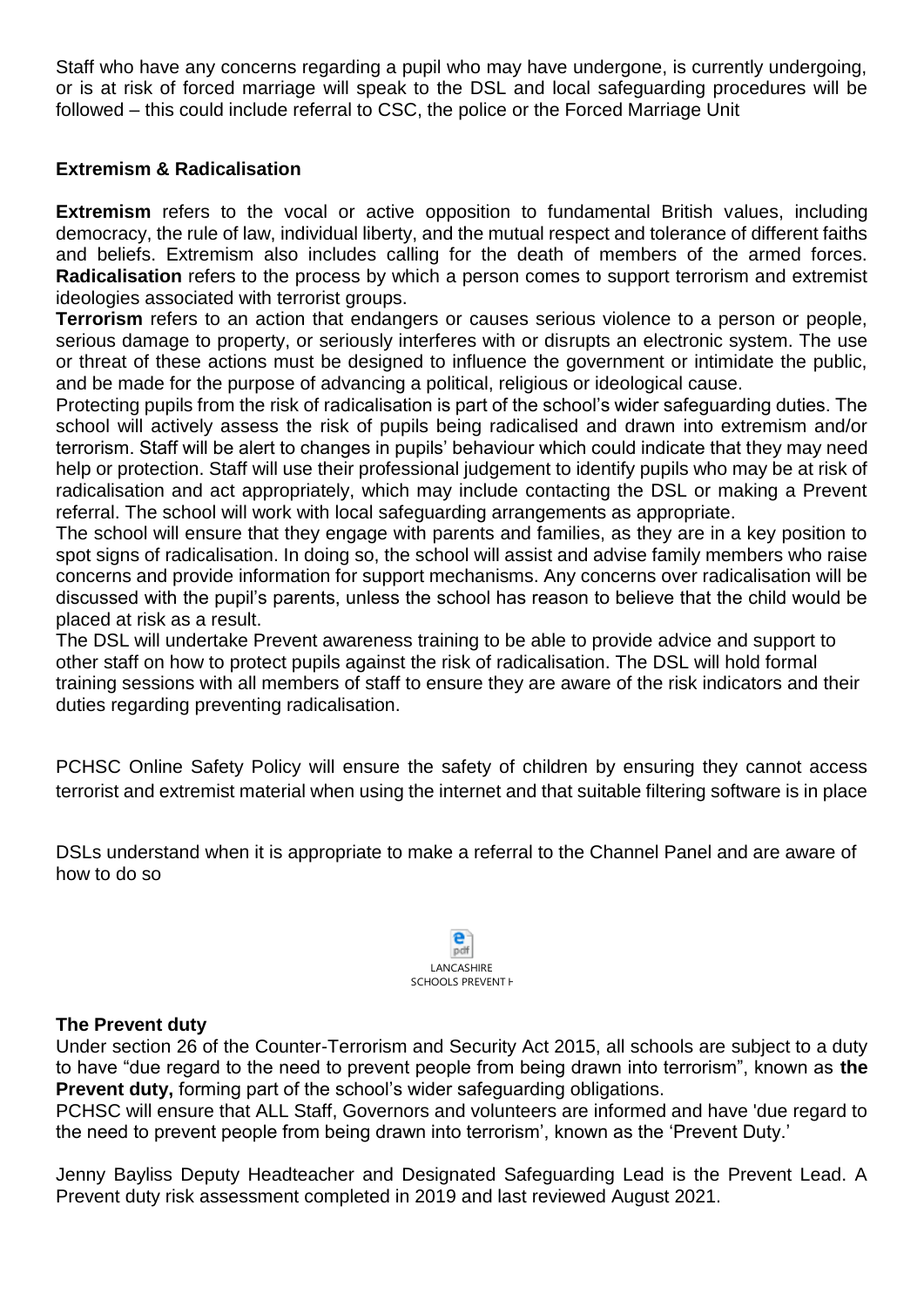Staff who have any concerns regarding a pupil who may have undergone, is currently undergoing, or is at risk of forced marriage will speak to the DSL and local safeguarding procedures will be followed – this could include referral to CSC, the police or the Forced Marriage Unit

## **Extremism & Radicalisation**

**Extremism** refers to the vocal or active opposition to fundamental British values, including democracy, the rule of law, individual liberty, and the mutual respect and tolerance of different faiths and beliefs. Extremism also includes calling for the death of members of the armed forces. **Radicalisation** refers to the process by which a person comes to support terrorism and extremist ideologies associated with terrorist groups.

**Terrorism** refers to an action that endangers or causes serious violence to a person or people, serious damage to property, or seriously interferes with or disrupts an electronic system. The use or threat of these actions must be designed to influence the government or intimidate the public, and be made for the purpose of advancing a political, religious or ideological cause.

Protecting pupils from the risk of radicalisation is part of the school's wider safeguarding duties. The school will actively assess the risk of pupils being radicalised and drawn into extremism and/or terrorism. Staff will be alert to changes in pupils' behaviour which could indicate that they may need help or protection. Staff will use their professional judgement to identify pupils who may be at risk of radicalisation and act appropriately, which may include contacting the DSL or making a Prevent referral. The school will work with local safeguarding arrangements as appropriate.

The school will ensure that they engage with parents and families, as they are in a key position to spot signs of radicalisation. In doing so, the school will assist and advise family members who raise concerns and provide information for support mechanisms. Any concerns over radicalisation will be discussed with the pupil's parents, unless the school has reason to believe that the child would be placed at risk as a result.

The DSL will undertake Prevent awareness training to be able to provide advice and support to other staff on how to protect pupils against the risk of radicalisation. The DSL will hold formal training sessions with all members of staff to ensure they are aware of the risk indicators and their duties regarding preventing radicalisation.

PCHSC Online Safety Policy will ensure the safety of children by ensuring they cannot access terrorist and extremist material when using the internet and that suitable filtering software is in place

DSLs understand when it is appropriate to make a referral to the Channel Panel and are aware of how to do so



#### **The Prevent duty**

Under section 26 of the Counter-Terrorism and Security Act 2015, all schools are subject to a duty to have "due regard to the need to prevent people from being drawn into terrorism", known as **the Prevent duty,** forming part of the school's wider safeguarding obligations.

PCHSC will ensure that ALL Staff, Governors and volunteers are informed and have 'due regard to the need to prevent people from being drawn into terrorism', known as the 'Prevent Duty.'

Jenny Bayliss Deputy Headteacher and Designated Safeguarding Lead is the Prevent Lead. A Prevent duty risk assessment completed in 2019 and last reviewed August 2021.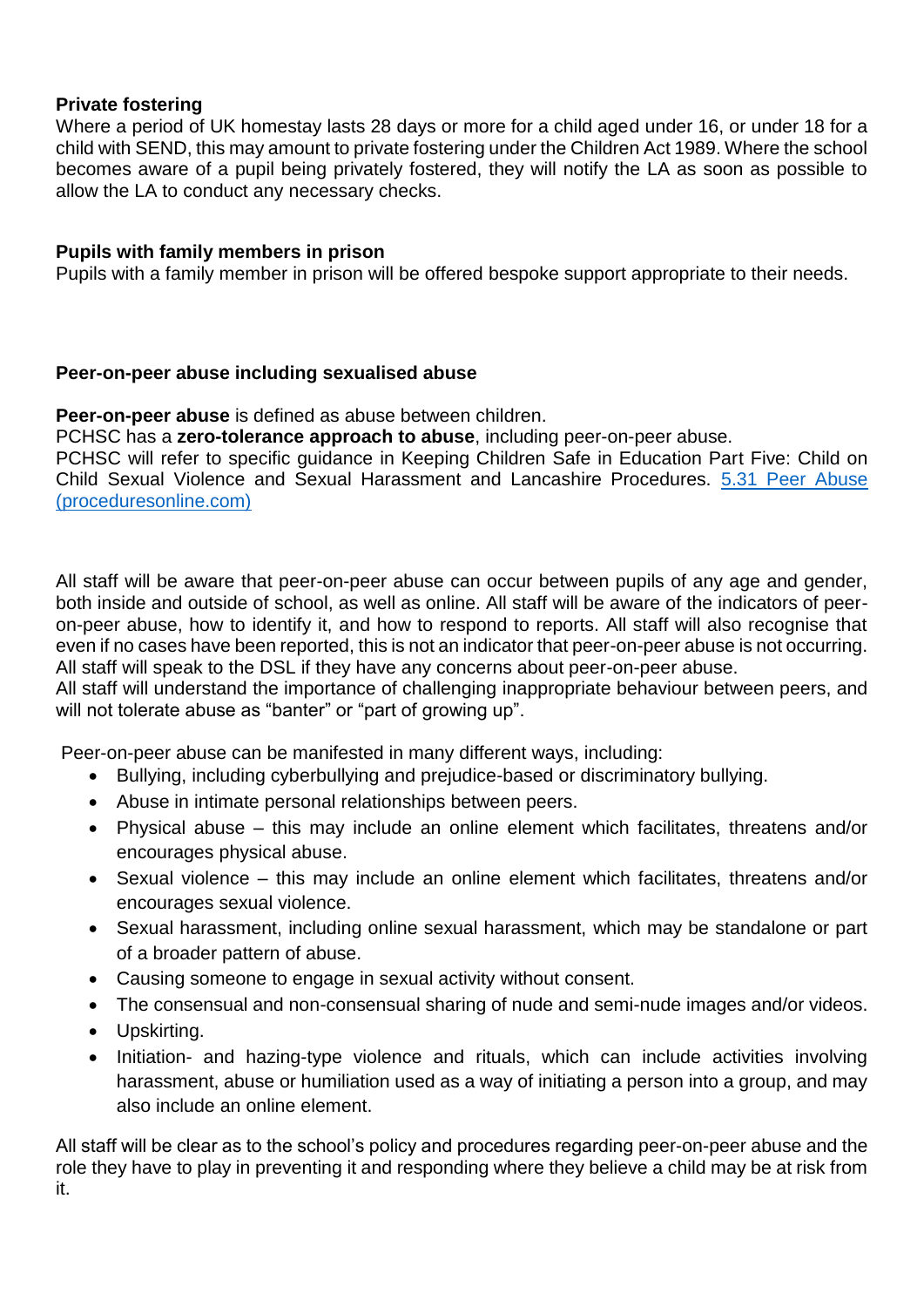#### **Private fostering**

Where a period of UK homestay lasts 28 days or more for a child aged under 16, or under 18 for a child with SEND, this may amount to private fostering under the Children Act 1989. Where the school becomes aware of a pupil being privately fostered, they will notify the LA as soon as possible to allow the LA to conduct any necessary checks.

#### **Pupils with family members in prison**

Pupils with a family member in prison will be offered bespoke support appropriate to their needs.

#### **Peer-on-peer abuse including sexualised abuse**

**Peer-on-peer abuse** is defined as abuse between children.

PCHSC has a **zero-tolerance approach to abuse**, including peer-on-peer abuse.

PCHSC will refer to specific guidance in Keeping Children Safe in Education Part Five: Child on Child Sexual Violence and Sexual Harassment and Lancashire Procedures. [5.31 Peer Abuse](https://panlancashirescb.proceduresonline.com/chapters/p_peer_abuse.html)  [\(proceduresonline.com\)](https://panlancashirescb.proceduresonline.com/chapters/p_peer_abuse.html)

All staff will be aware that peer-on-peer abuse can occur between pupils of any age and gender, both inside and outside of school, as well as online. All staff will be aware of the indicators of peeron-peer abuse, how to identify it, and how to respond to reports. All staff will also recognise that even if no cases have been reported, this is not an indicator that peer-on-peer abuse is not occurring. All staff will speak to the DSL if they have any concerns about peer-on-peer abuse.

All staff will understand the importance of challenging inappropriate behaviour between peers, and will not tolerate abuse as "banter" or "part of growing up".

Peer-on-peer abuse can be manifested in many different ways, including:

- Bullying, including cyberbullying and prejudice-based or discriminatory bullying.
- Abuse in intimate personal relationships between peers.
- Physical abuse this may include an online element which facilitates, threatens and/or encourages physical abuse.
- Sexual violence this may include an online element which facilitates, threatens and/or encourages sexual violence.
- Sexual harassment, including online sexual harassment, which may be standalone or part of a broader pattern of abuse.
- Causing someone to engage in sexual activity without consent.
- The consensual and non-consensual sharing of nude and semi-nude images and/or videos.
- Upskirting.
- Initiation- and hazing-type violence and rituals, which can include activities involving harassment, abuse or humiliation used as a way of initiating a person into a group, and may also include an online element.

All staff will be clear as to the school's policy and procedures regarding peer-on-peer abuse and the role they have to play in preventing it and responding where they believe a child may be at risk from it.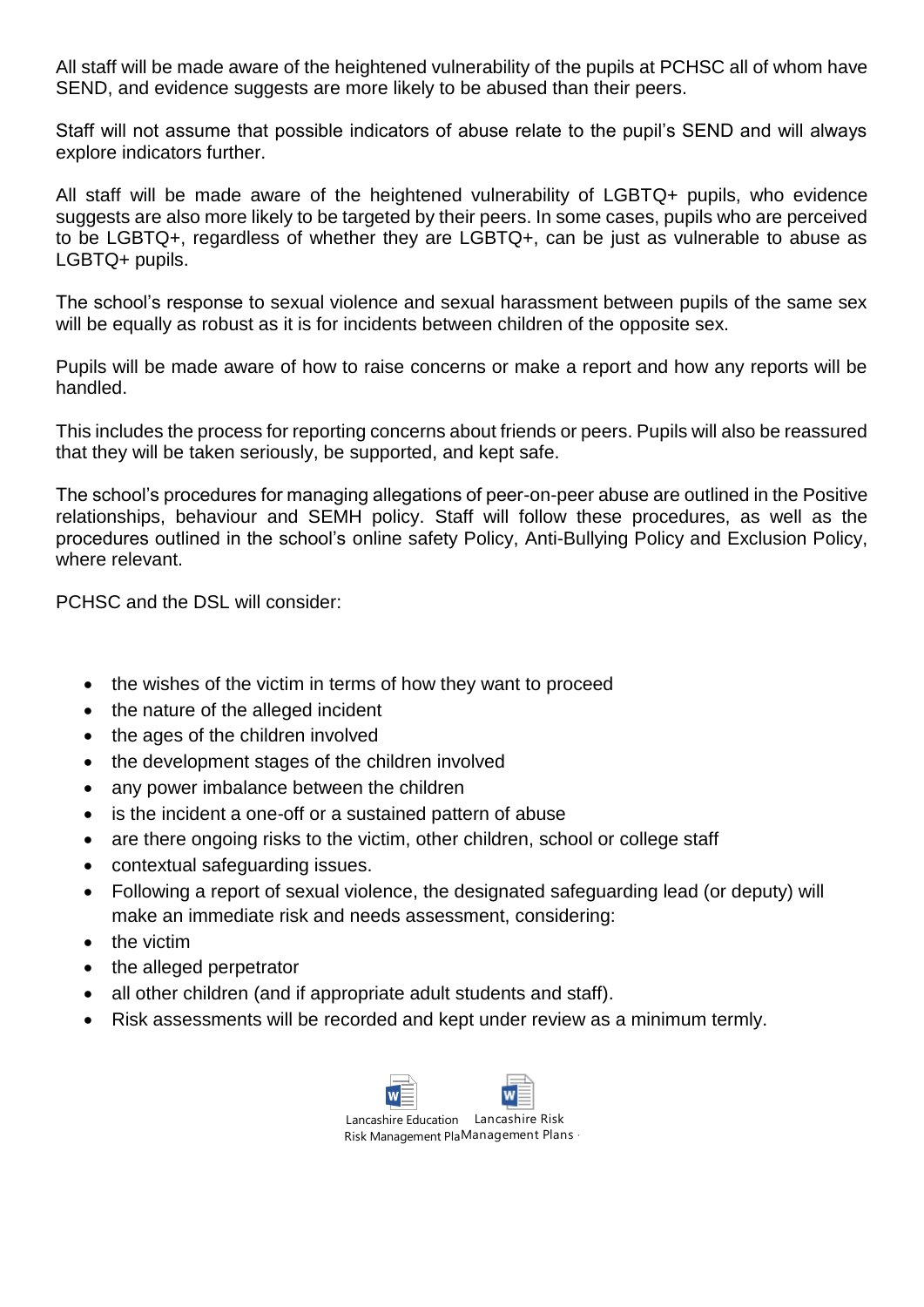All staff will be made aware of the heightened vulnerability of the pupils at PCHSC all of whom have SEND, and evidence suggests are more likely to be abused than their peers.

Staff will not assume that possible indicators of abuse relate to the pupil's SEND and will always explore indicators further.

All staff will be made aware of the heightened vulnerability of LGBTQ+ pupils, who evidence suggests are also more likely to be targeted by their peers. In some cases, pupils who are perceived to be LGBTQ+, regardless of whether they are LGBTQ+, can be just as vulnerable to abuse as LGBTQ+ pupils.

The school's response to sexual violence and sexual harassment between pupils of the same sex will be equally as robust as it is for incidents between children of the opposite sex.

Pupils will be made aware of how to raise concerns or make a report and how any reports will be handled.

This includes the process for reporting concerns about friends or peers. Pupils will also be reassured that they will be taken seriously, be supported, and kept safe.

The school's procedures for managing allegations of peer-on-peer abuse are outlined in the Positive relationships, behaviour and SEMH policy. Staff will follow these procedures, as well as the procedures outlined in the school's online safety Policy, Anti-Bullying Policy and Exclusion Policy, where relevant

PCHSC and the DSL will consider:

- the wishes of the victim in terms of how they want to proceed
- the nature of the alleged incident
- the ages of the children involved
- the development stages of the children involved
- any power imbalance between the children
- is the incident a one-off or a sustained pattern of abuse
- are there ongoing risks to the victim, other children, school or college staff
- contextual safeguarding issues.
- Following a report of sexual violence, the designated safeguarding lead (or deputy) will make an immediate risk and needs assessment, considering:
- the victim
- the alleged perpetrator
- all other children (and if appropriate adult students and staff).
- Risk assessments will be recorded and kept under review as a minimum termly.



Risk Management PlaManagement Plans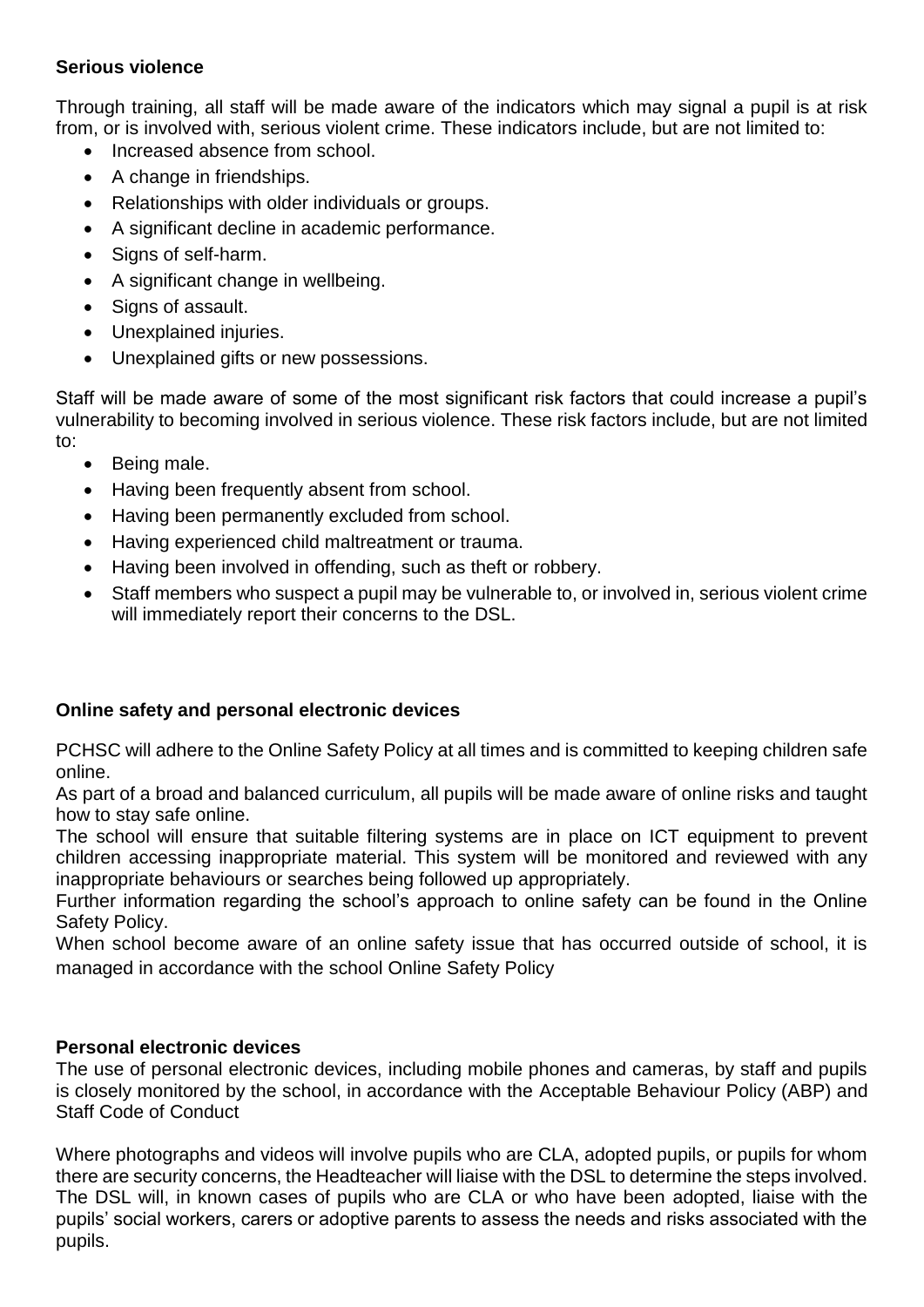#### **Serious violence**

Through training, all staff will be made aware of the indicators which may signal a pupil is at risk from, or is involved with, serious violent crime. These indicators include, but are not limited to:

- Increased absence from school.
- A change in friendships.
- Relationships with older individuals or groups.
- A significant decline in academic performance.
- Signs of self-harm.
- A significant change in wellbeing.
- Signs of assault.
- Unexplained injuries.
- Unexplained gifts or new possessions.

Staff will be made aware of some of the most significant risk factors that could increase a pupil's vulnerability to becoming involved in serious violence. These risk factors include, but are not limited to:

- Being male.
- Having been frequently absent from school.
- Having been permanently excluded from school.
- Having experienced child maltreatment or trauma.
- Having been involved in offending, such as theft or robbery.
- Staff members who suspect a pupil may be vulnerable to, or involved in, serious violent crime will immediately report their concerns to the DSL.

## **Online safety and personal electronic devices**

PCHSC will adhere to the Online Safety Policy at all times and is committed to keeping children safe online.

As part of a broad and balanced curriculum, all pupils will be made aware of online risks and taught how to stay safe online.

The school will ensure that suitable filtering systems are in place on ICT equipment to prevent children accessing inappropriate material. This system will be monitored and reviewed with any inappropriate behaviours or searches being followed up appropriately.

Further information regarding the school's approach to online safety can be found in the Online Safety Policy.

When school become aware of an online safety issue that has occurred outside of school, it is managed in accordance with the school Online Safety Policy

## **Personal electronic devices**

The use of personal electronic devices, including mobile phones and cameras, by staff and pupils is closely monitored by the school, in accordance with the Acceptable Behaviour Policy (ABP) and Staff Code of Conduct

Where photographs and videos will involve pupils who are CLA, adopted pupils, or pupils for whom there are security concerns, the Headteacher will liaise with the DSL to determine the steps involved. The DSL will, in known cases of pupils who are CLA or who have been adopted, liaise with the pupils' social workers, carers or adoptive parents to assess the needs and risks associated with the pupils.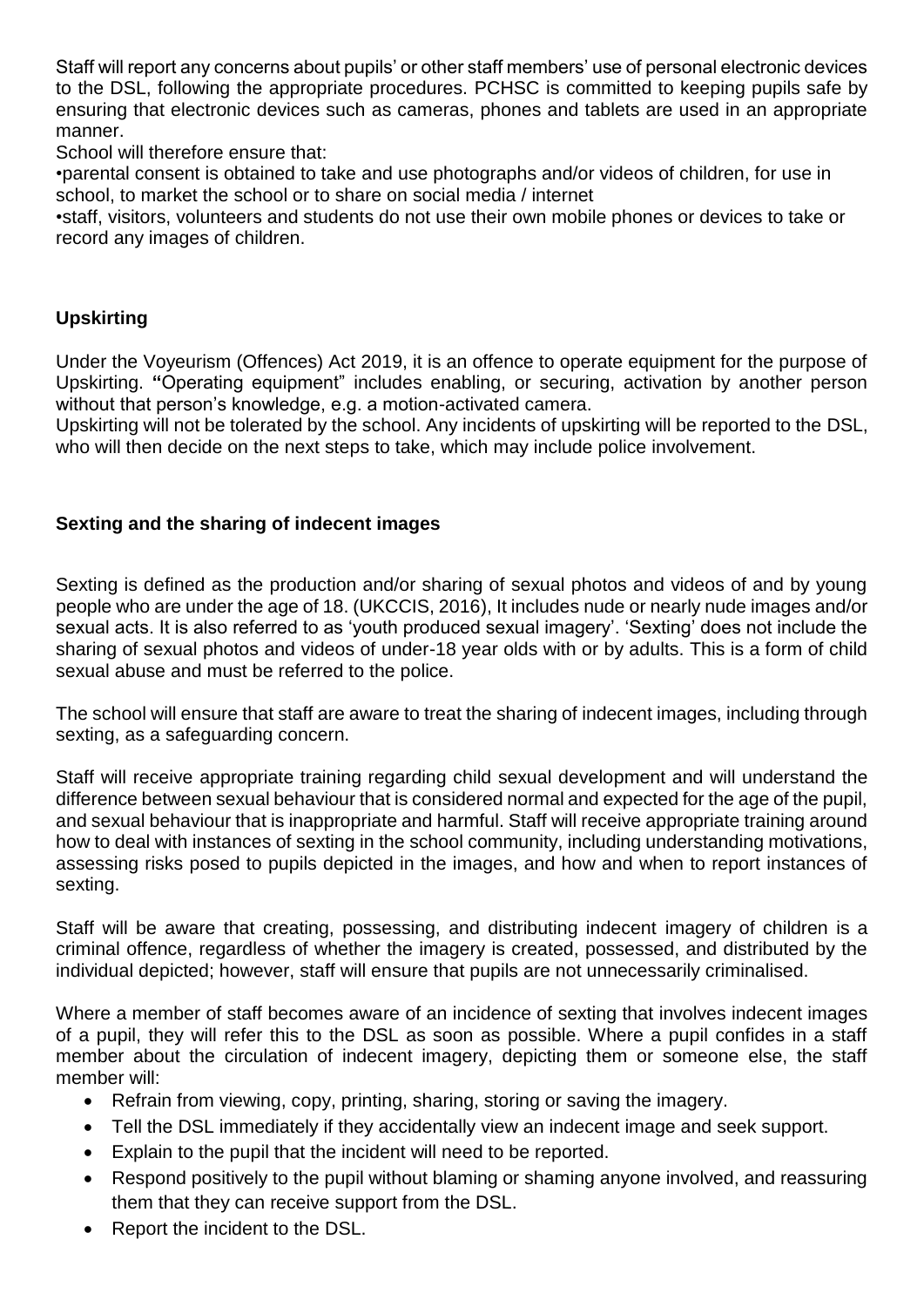Staff will report any concerns about pupils' or other staff members' use of personal electronic devices to the DSL, following the appropriate procedures. PCHSC is committed to keeping pupils safe by ensuring that electronic devices such as cameras, phones and tablets are used in an appropriate manner.

School will therefore ensure that:

•parental consent is obtained to take and use photographs and/or videos of children, for use in school, to market the school or to share on social media / internet

•staff, visitors, volunteers and students do not use their own mobile phones or devices to take or record any images of children.

## **Upskirting**

Under the Voyeurism (Offences) Act 2019, it is an offence to operate equipment for the purpose of Upskirting. **"**Operating equipment" includes enabling, or securing, activation by another person without that person's knowledge, e.g. a motion-activated camera.

Upskirting will not be tolerated by the school. Any incidents of upskirting will be reported to the DSL, who will then decide on the next steps to take, which may include police involvement.

## **Sexting and the sharing of indecent images**

Sexting is defined as the production and/or sharing of sexual photos and videos of and by young people who are under the age of 18. (UKCCIS, 2016), It includes nude or nearly nude images and/or sexual acts. It is also referred to as 'youth produced sexual imagery'. 'Sexting' does not include the sharing of sexual photos and videos of under-18 year olds with or by adults. This is a form of child sexual abuse and must be referred to the police.

The school will ensure that staff are aware to treat the sharing of indecent images, including through sexting, as a safeguarding concern.

Staff will receive appropriate training regarding child sexual development and will understand the difference between sexual behaviour that is considered normal and expected for the age of the pupil, and sexual behaviour that is inappropriate and harmful. Staff will receive appropriate training around how to deal with instances of sexting in the school community, including understanding motivations, assessing risks posed to pupils depicted in the images, and how and when to report instances of sexting.

Staff will be aware that creating, possessing, and distributing indecent imagery of children is a criminal offence, regardless of whether the imagery is created, possessed, and distributed by the individual depicted; however, staff will ensure that pupils are not unnecessarily criminalised.

Where a member of staff becomes aware of an incidence of sexting that involves indecent images of a pupil, they will refer this to the DSL as soon as possible. Where a pupil confides in a staff member about the circulation of indecent imagery, depicting them or someone else, the staff member will:

- Refrain from viewing, copy, printing, sharing, storing or saving the imagery.
- Tell the DSL immediately if they accidentally view an indecent image and seek support.
- Explain to the pupil that the incident will need to be reported.
- Respond positively to the pupil without blaming or shaming anyone involved, and reassuring them that they can receive support from the DSL.
- Report the incident to the DSL.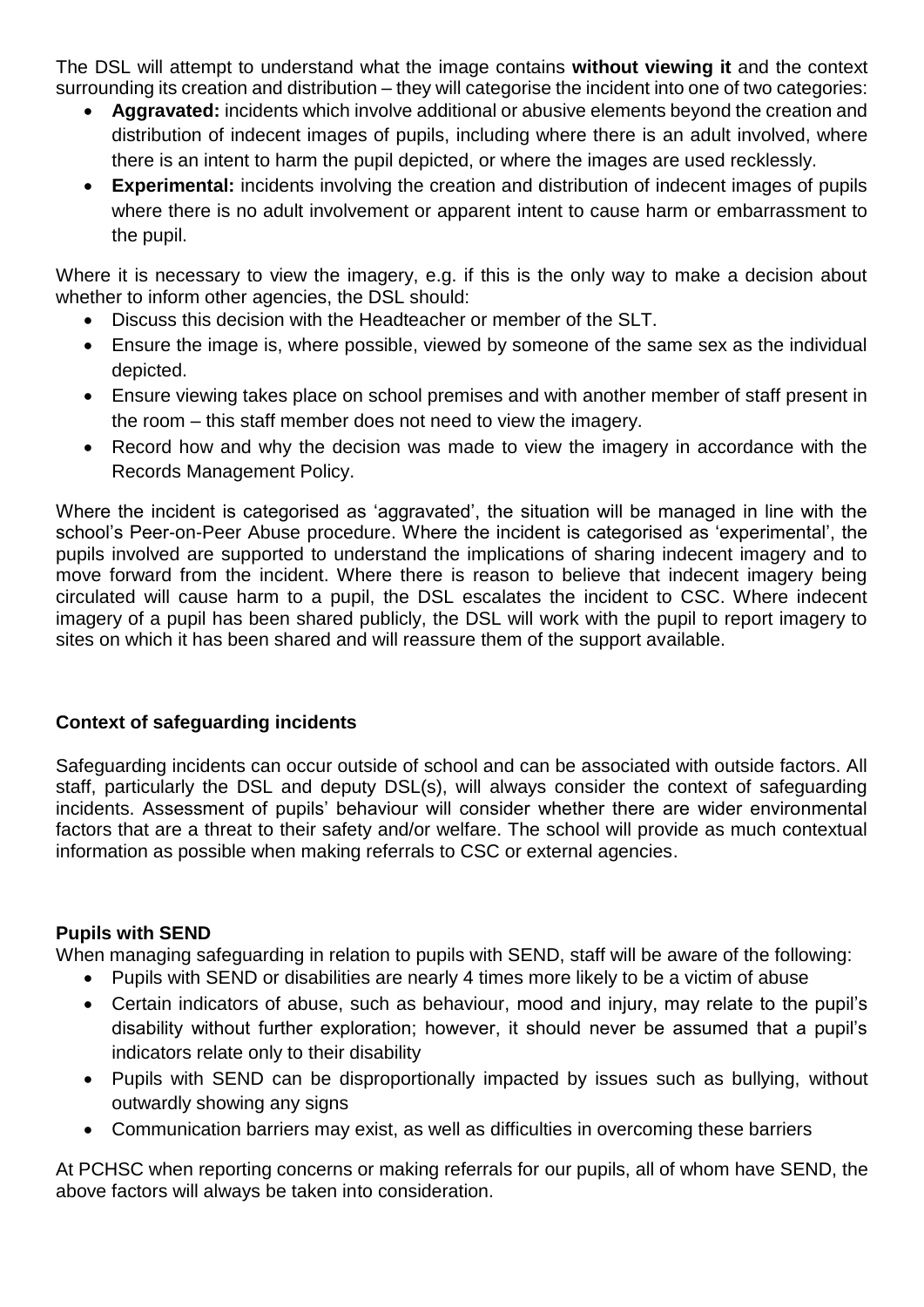The DSL will attempt to understand what the image contains **without viewing it** and the context surrounding its creation and distribution – they will categorise the incident into one of two categories:

- **Aggravated:** incidents which involve additional or abusive elements beyond the creation and distribution of indecent images of pupils, including where there is an adult involved, where there is an intent to harm the pupil depicted, or where the images are used recklessly.
- **Experimental:** incidents involving the creation and distribution of indecent images of pupils where there is no adult involvement or apparent intent to cause harm or embarrassment to the pupil.

Where it is necessary to view the imagery, e.g. if this is the only way to make a decision about whether to inform other agencies, the DSL should:

- Discuss this decision with the Headteacher or member of the SLT.
- Ensure the image is, where possible, viewed by someone of the same sex as the individual depicted.
- Ensure viewing takes place on school premises and with another member of staff present in the room – this staff member does not need to view the imagery.
- Record how and why the decision was made to view the imagery in accordance with the Records Management Policy.

Where the incident is categorised as 'aggravated', the situation will be managed in line with the school's Peer-on-Peer Abuse procedure. Where the incident is categorised as 'experimental', the pupils involved are supported to understand the implications of sharing indecent imagery and to move forward from the incident. Where there is reason to believe that indecent imagery being circulated will cause harm to a pupil, the DSL escalates the incident to CSC. Where indecent imagery of a pupil has been shared publicly, the DSL will work with the pupil to report imagery to sites on which it has been shared and will reassure them of the support available.

## **Context of safeguarding incidents**

Safeguarding incidents can occur outside of school and can be associated with outside factors. All staff, particularly the DSL and deputy DSL(s), will always consider the context of safeguarding incidents. Assessment of pupils' behaviour will consider whether there are wider environmental factors that are a threat to their safety and/or welfare. The school will provide as much contextual information as possible when making referrals to CSC or external agencies.

## **Pupils with SEND**

When managing safeguarding in relation to pupils with SEND, staff will be aware of the following:

- Pupils with SEND or disabilities are nearly 4 times more likely to be a victim of abuse
- Certain indicators of abuse, such as behaviour, mood and injury, may relate to the pupil's disability without further exploration; however, it should never be assumed that a pupil's indicators relate only to their disability
- Pupils with SEND can be disproportionally impacted by issues such as bullying, without outwardly showing any signs
- Communication barriers may exist, as well as difficulties in overcoming these barriers

At PCHSC when reporting concerns or making referrals for our pupils, all of whom have SEND, the above factors will always be taken into consideration.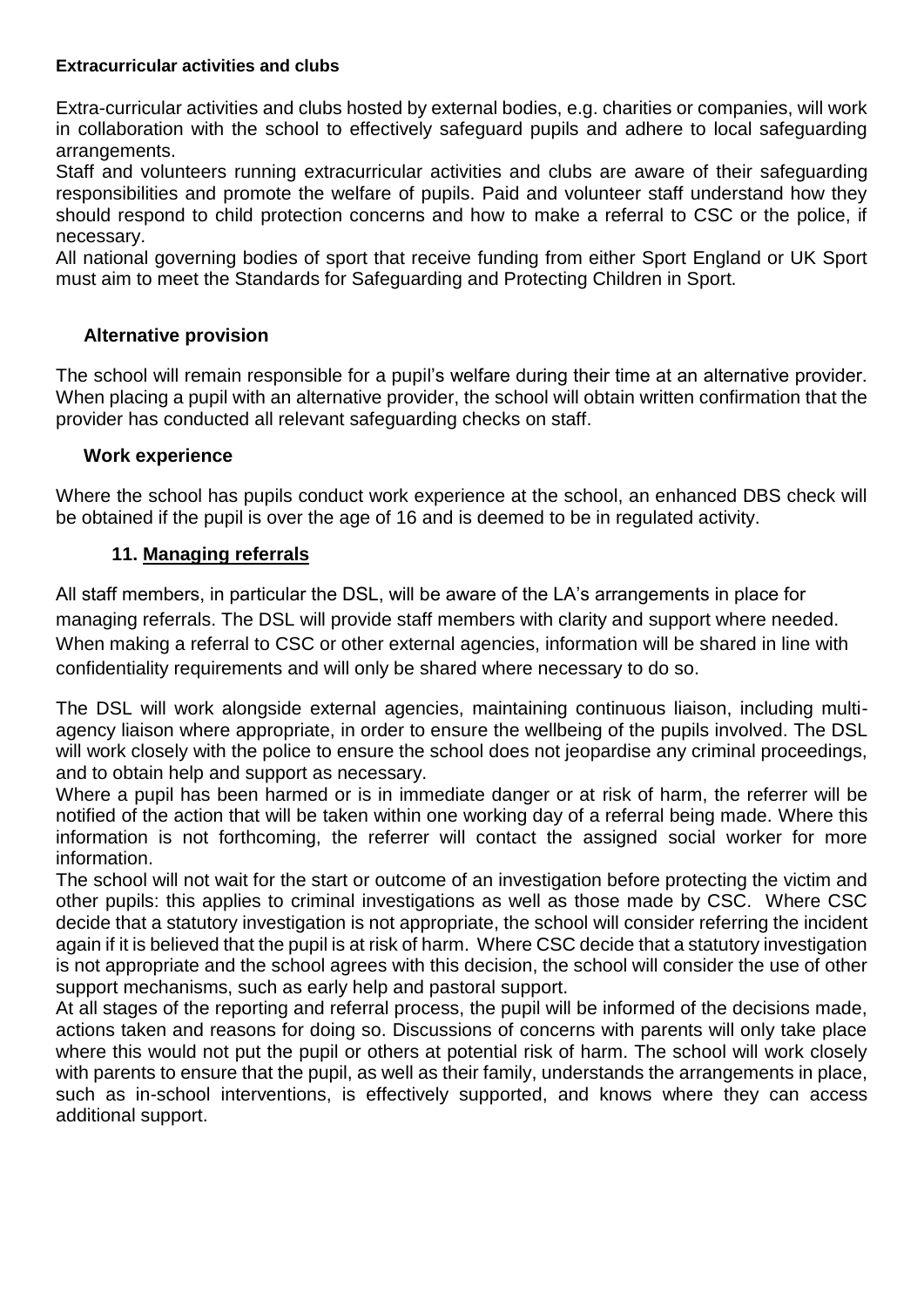#### **Extracurricular activities and clubs**

Extra-curricular activities and clubs hosted by external bodies, e.g. charities or companies, will work in collaboration with the school to effectively safeguard pupils and adhere to local safeguarding arrangements.

Staff and volunteers running extracurricular activities and clubs are aware of their safeguarding responsibilities and promote the welfare of pupils. Paid and volunteer staff understand how they should respond to child protection concerns and how to make a referral to CSC or the police, if necessary.

All national governing bodies of sport that receive funding from either Sport England or UK Sport must aim to meet the Standards for Safeguarding and Protecting Children in Sport.

#### **Alternative provision**

The school will remain responsible for a pupil's welfare during their time at an alternative provider. When placing a pupil with an alternative provider, the school will obtain written confirmation that the provider has conducted all relevant safeguarding checks on staff.

#### **Work experience**

Where the school has pupils conduct work experience at the school, an enhanced DBS check will be obtained if the pupil is over the age of 16 and is deemed to be in regulated activity.

#### **11. Managing referrals**

All staff members, in particular the DSL, will be aware of the LA's arrangements in place for managing referrals. The DSL will provide staff members with clarity and support where needed. When making a referral to CSC or other external agencies, information will be shared in line with confidentiality requirements and will only be shared where necessary to do so.

The DSL will work alongside external agencies, maintaining continuous liaison, including multiagency liaison where appropriate, in order to ensure the wellbeing of the pupils involved. The DSL will work closely with the police to ensure the school does not jeopardise any criminal proceedings, and to obtain help and support as necessary.

Where a pupil has been harmed or is in immediate danger or at risk of harm, the referrer will be notified of the action that will be taken within one working day of a referral being made. Where this information is not forthcoming, the referrer will contact the assigned social worker for more information.

The school will not wait for the start or outcome of an investigation before protecting the victim and other pupils: this applies to criminal investigations as well as those made by CSC. Where CSC decide that a statutory investigation is not appropriate, the school will consider referring the incident again if it is believed that the pupil is at risk of harm. Where CSC decide that a statutory investigation is not appropriate and the school agrees with this decision, the school will consider the use of other support mechanisms, such as early help and pastoral support.

At all stages of the reporting and referral process, the pupil will be informed of the decisions made, actions taken and reasons for doing so. Discussions of concerns with parents will only take place where this would not put the pupil or others at potential risk of harm. The school will work closely with parents to ensure that the pupil, as well as their family, understands the arrangements in place, such as in-school interventions, is effectively supported, and knows where they can access additional support.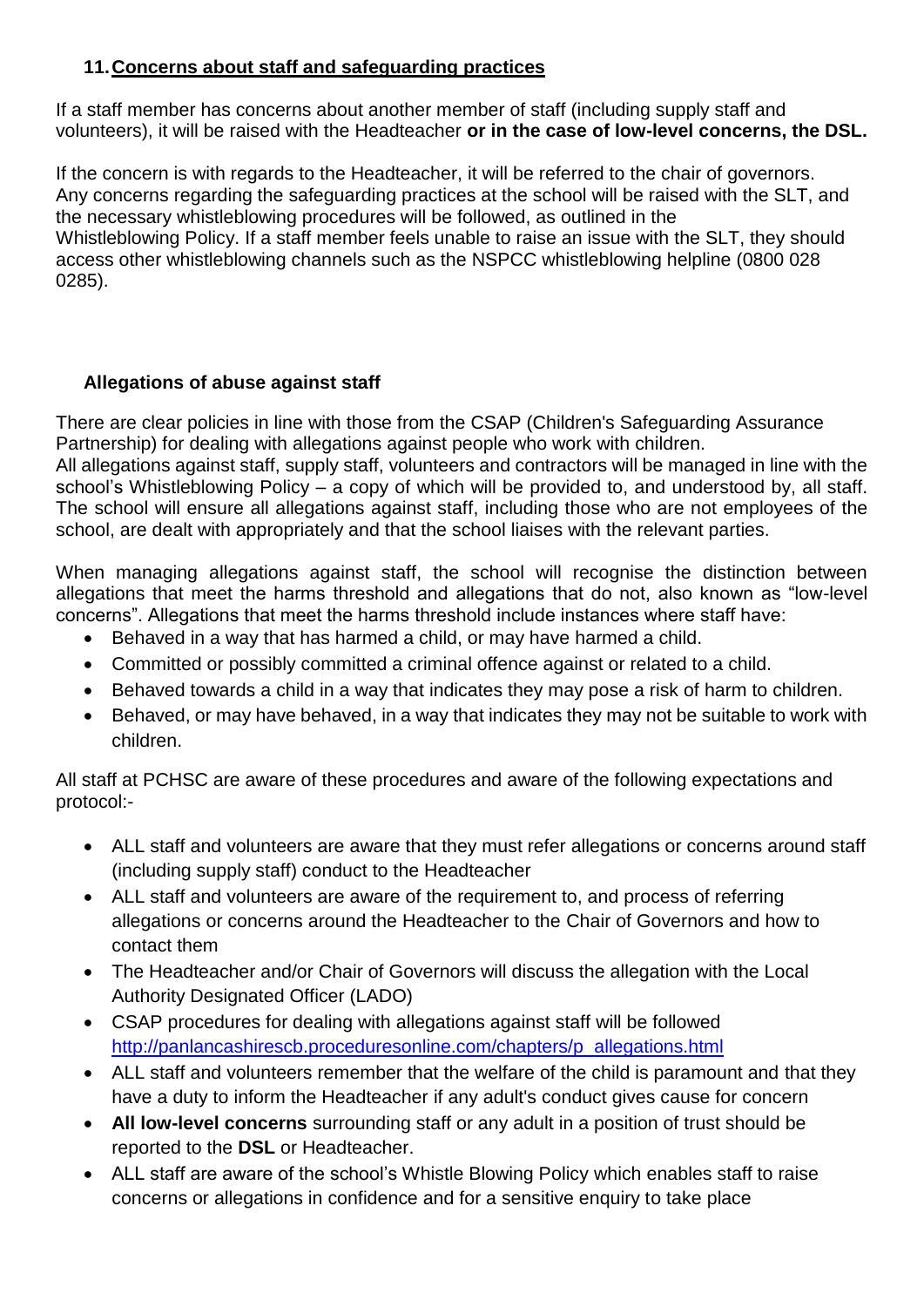## **11.Concerns about staff and safeguarding practices**

If a staff member has concerns about another member of staff (including supply staff and volunteers), it will be raised with the Headteacher **or in the case of low-level concerns, the DSL.** 

If the concern is with regards to the Headteacher, it will be referred to the chair of governors. Any concerns regarding the safeguarding practices at the school will be raised with the SLT, and the necessary whistleblowing procedures will be followed, as outlined in the Whistleblowing Policy. If a staff member feels unable to raise an issue with the SLT, they should access other whistleblowing channels such as the NSPCC whistleblowing helpline (0800 028 0285).

## **Allegations of abuse against staff**

There are clear policies in line with those from the CSAP (Children's Safeguarding Assurance Partnership) for dealing with allegations against people who work with children.

All allegations against staff, supply staff, volunteers and contractors will be managed in line with the school's Whistleblowing Policy – a copy of which will be provided to, and understood by, all staff. The school will ensure all allegations against staff, including those who are not employees of the school, are dealt with appropriately and that the school liaises with the relevant parties.

When managing allegations against staff, the school will recognise the distinction between allegations that meet the harms threshold and allegations that do not, also known as "low-level concerns". Allegations that meet the harms threshold include instances where staff have:

- Behaved in a way that has harmed a child, or may have harmed a child.
- Committed or possibly committed a criminal offence against or related to a child.
- Behaved towards a child in a way that indicates they may pose a risk of harm to children.
- Behaved, or may have behaved, in a way that indicates they may not be suitable to work with children.

All staff at PCHSC are aware of these procedures and aware of the following expectations and protocol:-

- ALL staff and volunteers are aware that they must refer allegations or concerns around staff (including supply staff) conduct to the Headteacher
- ALL staff and volunteers are aware of the requirement to, and process of referring allegations or concerns around the Headteacher to the Chair of Governors and how to contact them
- The Headteacher and/or Chair of Governors will discuss the allegation with the Local Authority Designated Officer (LADO)
- CSAP procedures for dealing with allegations against staff will be followed [http://panlancashirescb.proceduresonline.com/chapters/p\\_allegations.html](http://panlancashirescb.proceduresonline.com/chapters/p_allegations.html)
- ALL staff and volunteers remember that the welfare of the child is paramount and that they have a duty to inform the Headteacher if any adult's conduct gives cause for concern
- **All low-level concerns** surrounding staff or any adult in a position of trust should be reported to the **DSL** or Headteacher.
- ALL staff are aware of the school's Whistle Blowing Policy which enables staff to raise concerns or allegations in confidence and for a sensitive enquiry to take place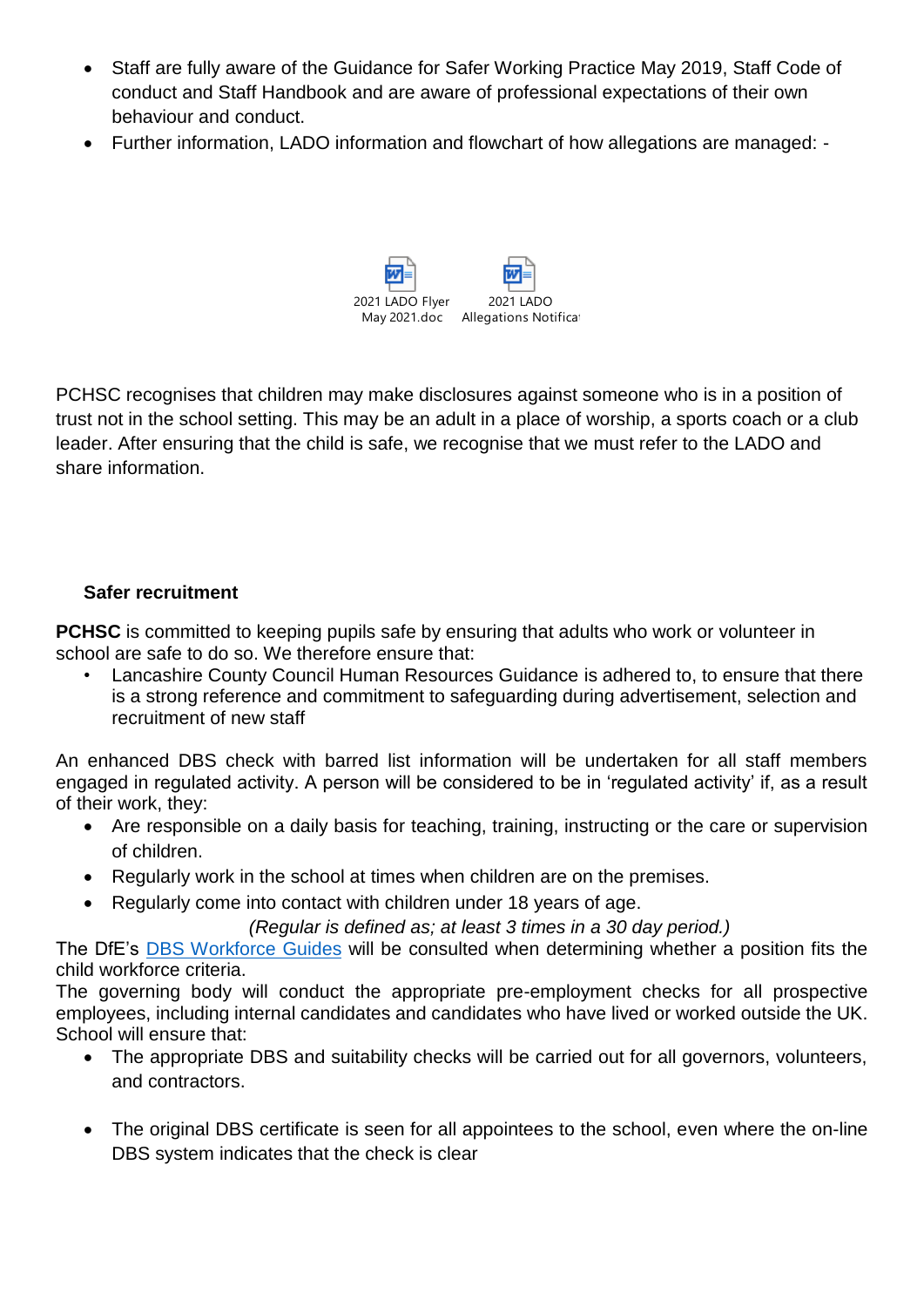- Staff are fully aware of the Guidance for Safer Working Practice May 2019, Staff Code of conduct and Staff Handbook and are aware of professional expectations of their own behaviour and conduct.
- Further information, LADO information and flowchart of how allegations are managed: -



PCHSC recognises that children may make disclosures against someone who is in a position of trust not in the school setting. This may be an adult in a place of worship, a sports coach or a club leader. After ensuring that the child is safe, we recognise that we must refer to the LADO and share information.

#### **Safer recruitment**

**PCHSC** is committed to keeping pupils safe by ensuring that adults who work or volunteer in school are safe to do so. We therefore ensure that:

• Lancashire County Council Human Resources Guidance is adhered to, to ensure that there is a strong reference and commitment to safeguarding during advertisement, selection and recruitment of new staff

An enhanced DBS check with barred list information will be undertaken for all staff members engaged in regulated activity. A person will be considered to be in 'regulated activity' if, as a result of their work, they:

- Are responsible on a daily basis for teaching, training, instructing or the care or supervision of children.
- Regularly work in the school at times when children are on the premises.
- Regularly come into contact with children under 18 years of age.

*(Regular is defined as; at least 3 times in a 30 day period.)*

The DfE's [DBS Workforce Guides](https://www.gov.uk/government/publications/dbs-workforce-guidance) will be consulted when determining whether a position fits the child workforce criteria.

The governing body will conduct the appropriate pre-employment checks for all prospective employees, including internal candidates and candidates who have lived or worked outside the UK. School will ensure that:

- The appropriate DBS and suitability checks will be carried out for all governors, volunteers, and contractors.
- The original DBS certificate is seen for all appointees to the school, even where the on-line DBS system indicates that the check is clear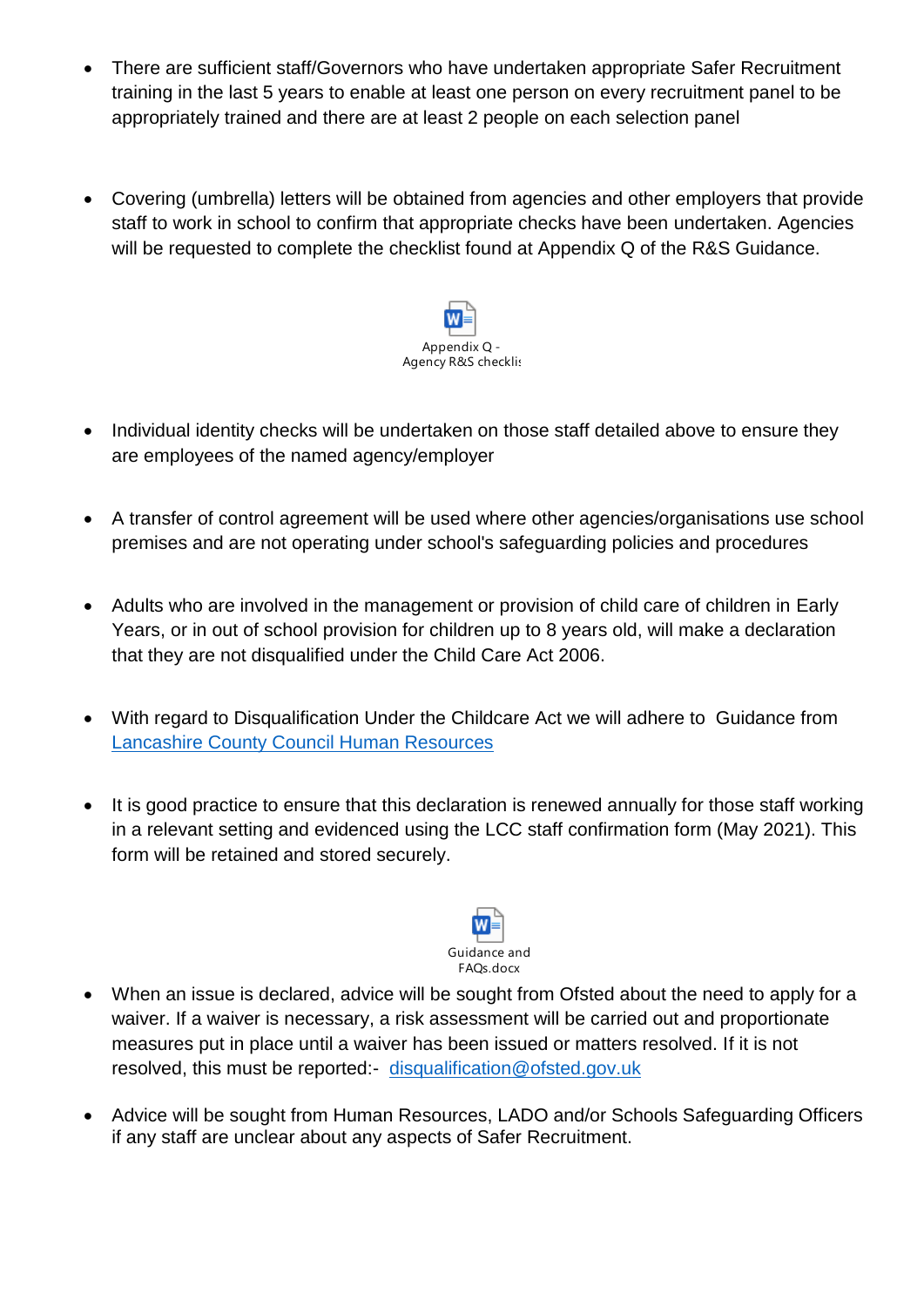- There are sufficient staff/Governors who have undertaken appropriate Safer Recruitment training in the last 5 years to enable at least one person on every recruitment panel to be appropriately trained and there are at least 2 people on each selection panel
- Covering (umbrella) letters will be obtained from agencies and other employers that provide staff to work in school to confirm that appropriate checks have been undertaken. Agencies will be requested to complete the checklist found at Appendix Q of the R&S Guidance.



- Individual identity checks will be undertaken on those staff detailed above to ensure they are employees of the named agency/employer
- A transfer of control agreement will be used where other agencies/organisations use school premises and are not operating under school's safeguarding policies and procedures
- Adults who are involved in the management or provision of child care of children in Early Years, or in out of school provision for children up to 8 years old, will make a declaration that they are not disqualified under the Child Care Act 2006.
- With regard to Disqualification Under the Childcare Act we will adhere to Guidance from [Lancashire County Council Human Resources](file://///CorpData01/LCCUsers4$/vwallace001/My%20Documents/For%20portal/•%09https:/schoolsportal.lancsngfl.ac.uk/view_sp.asp%3fsiteid=4311&pageid=45826&e=e)
- It is good practice to ensure that this declaration is renewed annually for those staff working in a relevant setting and evidenced using the LCC staff confirmation form (May 2021). This form will be retained and stored securely.



- When an issue is declared, advice will be sought from Ofsted about the need to apply for a waiver. If a waiver is necessary, a risk assessment will be carried out and proportionate measures put in place until a waiver has been issued or matters resolved. If it is not resolved, this must be reported:- [disqualification@ofsted.gov.uk](mailto:disqualification@ofsted.gov.uk)
- Advice will be sought from Human Resources, LADO and/or Schools Safeguarding Officers if any staff are unclear about any aspects of Safer Recruitment.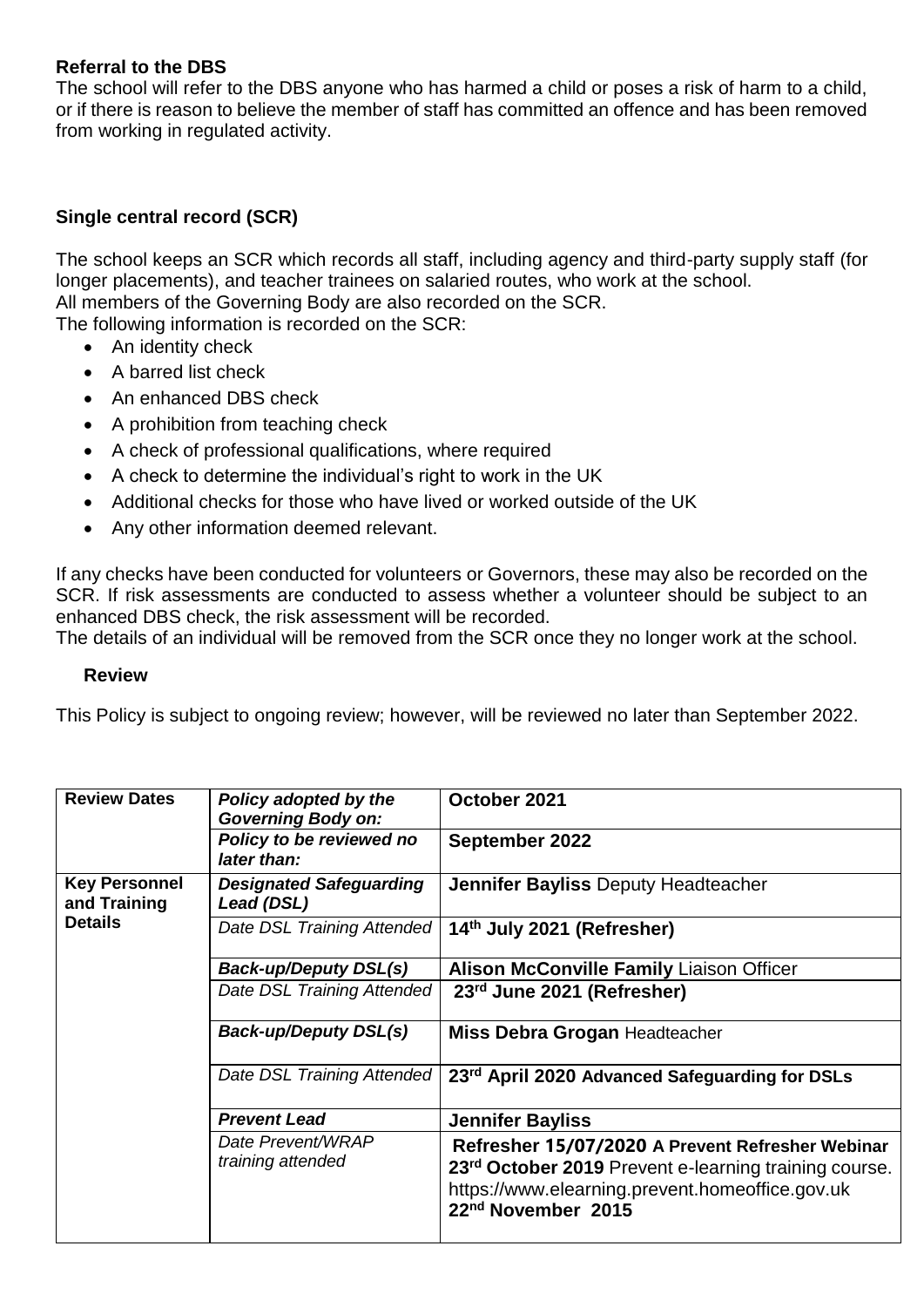#### **Referral to the DBS**

The school will refer to the DBS anyone who has harmed a child or poses a risk of harm to a child, or if there is reason to believe the member of staff has committed an offence and has been removed from working in regulated activity.

#### **Single central record (SCR)**

The school keeps an SCR which records all staff, including agency and third-party supply staff (for longer placements), and teacher trainees on salaried routes, who work at the school. All members of the Governing Body are also recorded on the SCR.

The following information is recorded on the SCR:

- An identity check
- A barred list check
- An enhanced DBS check
- A prohibition from teaching check
- A check of professional qualifications, where required
- A check to determine the individual's right to work in the UK
- Additional checks for those who have lived or worked outside of the UK
- Any other information deemed relevant.

If any checks have been conducted for volunteers or Governors, these may also be recorded on the SCR. If risk assessments are conducted to assess whether a volunteer should be subject to an enhanced DBS check, the risk assessment will be recorded.

The details of an individual will be removed from the SCR once they no longer work at the school.

#### **Review**

This Policy is subject to ongoing review; however, will be reviewed no later than September 2022.

| <b>Review Dates</b>                                    | Policy adopted by the<br><b>Governing Body on:</b> | October 2021                                                                                                                                                                                   |
|--------------------------------------------------------|----------------------------------------------------|------------------------------------------------------------------------------------------------------------------------------------------------------------------------------------------------|
|                                                        | Policy to be reviewed no<br>later than:            | <b>September 2022</b>                                                                                                                                                                          |
| <b>Key Personnel</b><br>and Training<br><b>Details</b> | <b>Designated Safeguarding</b><br>Lead (DSL)       | <b>Jennifer Bayliss Deputy Headteacher</b>                                                                                                                                                     |
|                                                        | Date DSL Training Attended                         | 14th July 2021 (Refresher)                                                                                                                                                                     |
|                                                        | <b>Back-up/Deputy DSL(s)</b>                       | <b>Alison McConville Family Liaison Officer</b>                                                                                                                                                |
|                                                        | Date DSL Training Attended                         | 23rd June 2021 (Refresher)                                                                                                                                                                     |
|                                                        | <b>Back-up/Deputy DSL(s)</b>                       | <b>Miss Debra Grogan Headteacher</b>                                                                                                                                                           |
|                                                        | Date DSL Training Attended                         | 23 <sup>rd</sup> April 2020 Advanced Safeguarding for DSLs                                                                                                                                     |
|                                                        | <b>Prevent Lead</b>                                | <b>Jennifer Bayliss</b>                                                                                                                                                                        |
|                                                        | Date Prevent/WRAP<br>training attended             | Refresher 15/07/2020 A Prevent Refresher Webinar<br>23rd October 2019 Prevent e-learning training course.<br>https://www.elearning.prevent.homeoffice.gov.uk<br>22 <sup>nd</sup> November 2015 |